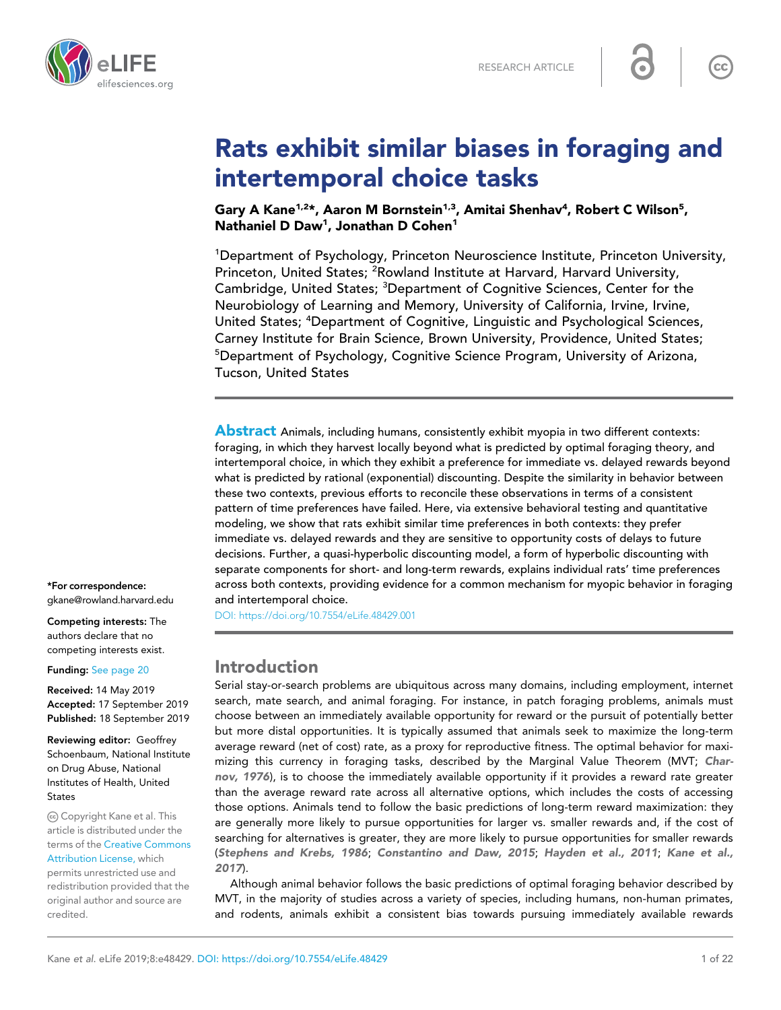

# Rats exhibit similar biases in foraging and intertemporal choice tasks

Gary A Kane<sup>1,2</sup>\*, Aaron M Bornstein<sup>1,3</sup>, Amitai Shenhav<sup>4</sup>, Robert C Wilson<sup>5</sup>, Nathaniel D Daw<sup>1</sup>, Jonathan D Cohen<sup>1</sup>

<sup>1</sup>Department of Psychology, Princeton Neuroscience Institute, Princeton University, Princeton, United States; <sup>2</sup>Rowland Institute at Harvard, Harvard University, Cambridge, United States; <sup>3</sup>Department of Cognitive Sciences, Center for the Neurobiology of Learning and Memory, University of California, Irvine, Irvine, United States; <sup>4</sup>Department of Cognitive, Linguistic and Psychological Sciences, Carney Institute for Brain Science, Brown University, Providence, United States; <sup>5</sup>Department of Psychology, Cognitive Science Program, University of Arizona, Tucson, United States

Abstract Animals, including humans, consistently exhibit myopia in two different contexts: foraging, in which they harvest locally beyond what is predicted by optimal foraging theory, and intertemporal choice, in which they exhibit a preference for immediate vs. delayed rewards beyond what is predicted by rational (exponential) discounting. Despite the similarity in behavior between these two contexts, previous efforts to reconcile these observations in terms of a consistent pattern of time preferences have failed. Here, via extensive behavioral testing and quantitative modeling, we show that rats exhibit similar time preferences in both contexts: they prefer immediate vs. delayed rewards and they are sensitive to opportunity costs of delays to future decisions. Further, a quasi-hyperbolic discounting model, a form of hyperbolic discounting with separate components for short- and long-term rewards, explains individual rats' time preferences across both contexts, providing evidence for a common mechanism for myopic behavior in foraging and intertemporal choice.

[DOI: https://doi.org/10.7554/eLife.48429.001](https://doi.org/10.7554/eLife.48429.001)

# Introduction

Serial stay-or-search problems are ubiquitous across many domains, including employment, internet search, mate search, and animal foraging. For instance, in patch foraging problems, animals must choose between an immediately available opportunity for reward or the pursuit of potentially better but more distal opportunities. It is typically assumed that animals seek to maximize the long-term average reward (net of cost) rate, as a proxy for reproductive fitness. The optimal behavior for maximizing this currency in foraging tasks, described by the Marginal Value Theorem (MVT; [Char](#page-20-0)[nov, 1976](#page-20-0)), is to choose the immediately available opportunity if it provides a reward rate greater than the average reward rate across all alternative options, which includes the costs of accessing those options. Animals tend to follow the basic predictions of long-term reward maximization: they are generally more likely to pursue opportunities for larger vs. smaller rewards and, if the cost of searching for alternatives is greater, they are more likely to pursue opportunities for smaller rewards ([Stephens and Krebs, 1986](#page-21-0); [Constantino and Daw, 2015](#page-20-0); [Hayden et al., 2011](#page-20-0); [Kane et al.,](#page-20-0) [2017](#page-20-0)).

Although animal behavior follows the basic predictions of optimal foraging behavior described by MVT, in the majority of studies across a variety of species, including humans, non-human primates, and rodents, animals exhibit a consistent bias towards pursuing immediately available rewards

\*For correspondence: gkane@rowland.harvard.edu

Competing interests: The authors declare that no competing interests exist.

#### Funding: [See page 20](#page-19-0)

Received: 14 May 2019 Accepted: 17 September 2019 Published: 18 September 2019

Reviewing editor: Geoffrey Schoenbaum, National Institute on Drug Abuse, National Institutes of Health, United States

Copyright Kane et al. This article is distributed under the terms of the [Creative Commons](http://creativecommons.org/licenses/by/4.0/) [Attribution License,](http://creativecommons.org/licenses/by/4.0/) which permits unrestricted use and redistribution provided that the original author and source are credited.

 $cc$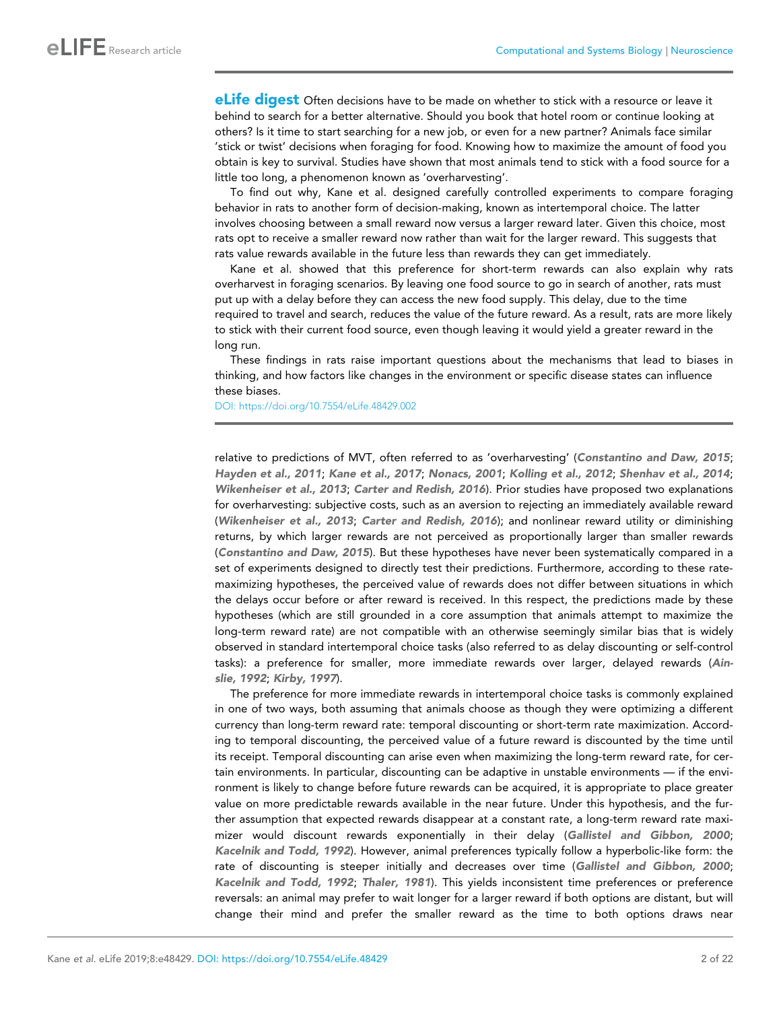**eLife digest** Often decisions have to be made on whether to stick with a resource or leave it behind to search for a better alternative. Should you book that hotel room or continue looking at others? Is it time to start searching for a new job, or even for a new partner? Animals face similar 'stick or twist' decisions when foraging for food. Knowing how to maximize the amount of food you obtain is key to survival. Studies have shown that most animals tend to stick with a food source for a little too long, a phenomenon known as 'overharvesting'.

To find out why, Kane et al. designed carefully controlled experiments to compare foraging behavior in rats to another form of decision-making, known as intertemporal choice. The latter involves choosing between a small reward now versus a larger reward later. Given this choice, most rats opt to receive a smaller reward now rather than wait for the larger reward. This suggests that rats value rewards available in the future less than rewards they can get immediately.

Kane et al. showed that this preference for short-term rewards can also explain why rats overharvest in foraging scenarios. By leaving one food source to go in search of another, rats must put up with a delay before they can access the new food supply. This delay, due to the time required to travel and search, reduces the value of the future reward. As a result, rats are more likely to stick with their current food source, even though leaving it would yield a greater reward in the long run.

These findings in rats raise important questions about the mechanisms that lead to biases in thinking, and how factors like changes in the environment or specific disease states can influence these biases.

[DOI: https://doi.org/10.7554/eLife.48429.002](https://doi.org/10.7554/eLife.48429.002)

relative to predictions of MVT, often referred to as 'overharvesting' ([Constantino and Daw, 2015](#page-20-0); [Hayden et al., 2011](#page-20-0); [Kane et al., 2017](#page-20-0); [Nonacs, 2001](#page-21-0); [Kolling et al., 2012](#page-20-0); [Shenhav et al., 2014](#page-21-0); [Wikenheiser et al., 2013](#page-21-0); [Carter and Redish, 2016](#page-20-0)). Prior studies have proposed two explanations for overharvesting: subjective costs, such as an aversion to rejecting an immediately available reward ([Wikenheiser et al., 2013](#page-21-0); [Carter and Redish, 2016](#page-20-0)); and nonlinear reward utility or diminishing returns, by which larger rewards are not perceived as proportionally larger than smaller rewards ([Constantino and Daw, 2015](#page-20-0)). But these hypotheses have never been systematically compared in a set of experiments designed to directly test their predictions. Furthermore, according to these ratemaximizing hypotheses, the perceived value of rewards does not differ between situations in which the delays occur before or after reward is received. In this respect, the predictions made by these hypotheses (which are still grounded in a core assumption that animals attempt to maximize the long-term reward rate) are not compatible with an otherwise seemingly similar bias that is widely observed in standard intertemporal choice tasks (also referred to as delay discounting or self-control tasks): a preference for smaller, more immediate rewards over larger, delayed rewards ([Ain](#page-19-0)[slie, 1992](#page-19-0); [Kirby, 1997](#page-20-0)).

The preference for more immediate rewards in intertemporal choice tasks is commonly explained in one of two ways, both assuming that animals choose as though they were optimizing a different currency than long-term reward rate: temporal discounting or short-term rate maximization. According to temporal discounting, the perceived value of a future reward is discounted by the time until its receipt. Temporal discounting can arise even when maximizing the long-term reward rate, for certain environments. In particular, discounting can be adaptive in unstable environments — if the environment is likely to change before future rewards can be acquired, it is appropriate to place greater value on more predictable rewards available in the near future. Under this hypothesis, and the further assumption that expected rewards disappear at a constant rate, a long-term reward rate maximizer would discount rewards exponentially in their delay ([Gallistel and Gibbon, 2000](#page-20-0); [Kacelnik and Todd, 1992](#page-20-0)). However, animal preferences typically follow a hyperbolic-like form: the rate of discounting is steeper initially and decreases over time ([Gallistel and Gibbon, 2000](#page-20-0); [Kacelnik and Todd, 1992](#page-20-0); [Thaler, 1981](#page-21-0)). This yields inconsistent time preferences or preference reversals: an animal may prefer to wait longer for a larger reward if both options are distant, but will change their mind and prefer the smaller reward as the time to both options draws near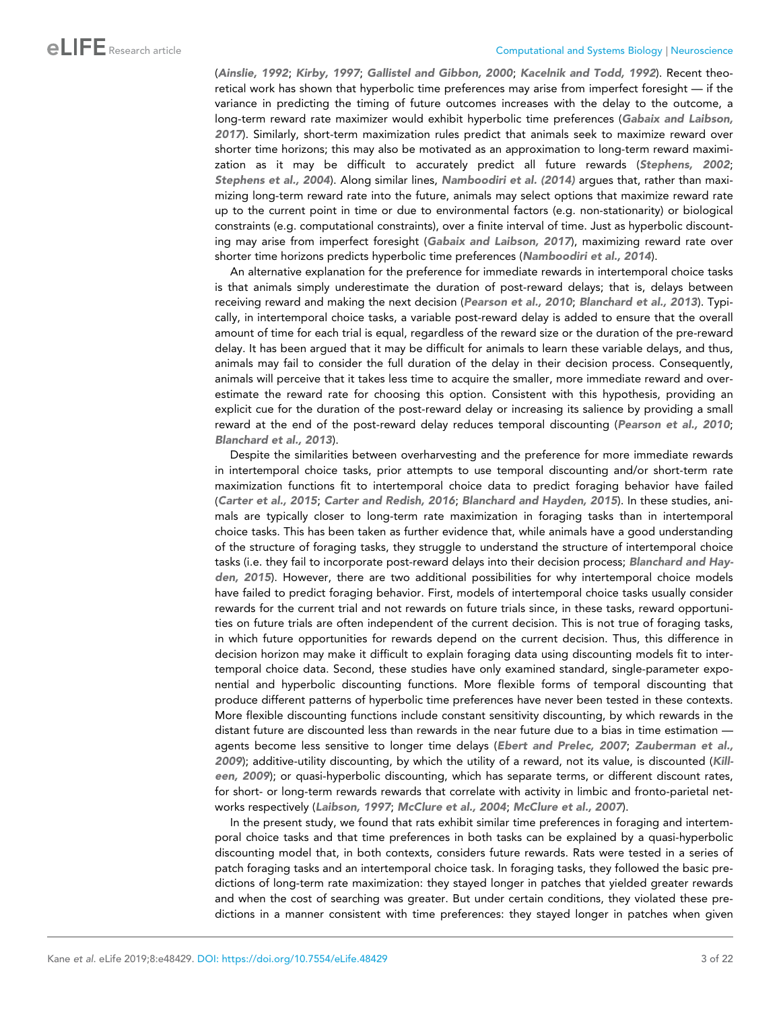([Ainslie, 1992](#page-19-0); [Kirby, 1997](#page-20-0); [Gallistel and Gibbon, 2000](#page-20-0); [Kacelnik and Todd, 1992](#page-20-0)). Recent theoretical work has shown that hyperbolic time preferences may arise from imperfect foresight — if the variance in predicting the timing of future outcomes increases with the delay to the outcome, a long-term reward rate maximizer would exhibit hyperbolic time preferences ([Gabaix and Laibson,](#page-20-0) [2017](#page-20-0)). Similarly, short-term maximization rules predict that animals seek to maximize reward over shorter time horizons; this may also be motivated as an approximation to long-term reward maximization as it may be difficult to accurately predict all future rewards ([Stephens, 2002](#page-21-0); [Stephens et al., 2004](#page-21-0)). Along similar lines, [Namboodiri et al. \(2014\)](#page-21-0) argues that, rather than maximizing long-term reward rate into the future, animals may select options that maximize reward rate up to the current point in time or due to environmental factors (e.g. non-stationarity) or biological constraints (e.g. computational constraints), over a finite interval of time. Just as hyperbolic discount-ing may arise from imperfect foresight ([Gabaix and Laibson, 2017](#page-20-0)), maximizing reward rate over shorter time horizons predicts hyperbolic time preferences ([Namboodiri et al., 2014](#page-21-0)).

An alternative explanation for the preference for immediate rewards in intertemporal choice tasks is that animals simply underestimate the duration of post-reward delays; that is, delays between receiving reward and making the next decision ([Pearson et al., 2010](#page-21-0); [Blanchard et al., 2013](#page-20-0)). Typically, in intertemporal choice tasks, a variable post-reward delay is added to ensure that the overall amount of time for each trial is equal, regardless of the reward size or the duration of the pre-reward delay. It has been argued that it may be difficult for animals to learn these variable delays, and thus, animals may fail to consider the full duration of the delay in their decision process. Consequently, animals will perceive that it takes less time to acquire the smaller, more immediate reward and overestimate the reward rate for choosing this option. Consistent with this hypothesis, providing an explicit cue for the duration of the post-reward delay or increasing its salience by providing a small reward at the end of the post-reward delay reduces temporal discounting ([Pearson et al., 2010](#page-21-0); [Blanchard et al., 2013](#page-20-0)).

Despite the similarities between overharvesting and the preference for more immediate rewards in intertemporal choice tasks, prior attempts to use temporal discounting and/or short-term rate maximization functions fit to intertemporal choice data to predict foraging behavior have failed ([Carter et al., 2015](#page-20-0); [Carter and Redish, 2016](#page-20-0); [Blanchard and Hayden, 2015](#page-20-0)). In these studies, animals are typically closer to long-term rate maximization in foraging tasks than in intertemporal choice tasks. This has been taken as further evidence that, while animals have a good understanding of the structure of foraging tasks, they struggle to understand the structure of intertemporal choice tasks (i.e. they fail to incorporate post-reward delays into their decision process; [Blanchard and Hay](#page-20-0)[den, 2015](#page-20-0)). However, there are two additional possibilities for why intertemporal choice models have failed to predict foraging behavior. First, models of intertemporal choice tasks usually consider rewards for the current trial and not rewards on future trials since, in these tasks, reward opportunities on future trials are often independent of the current decision. This is not true of foraging tasks, in which future opportunities for rewards depend on the current decision. Thus, this difference in decision horizon may make it difficult to explain foraging data using discounting models fit to intertemporal choice data. Second, these studies have only examined standard, single-parameter exponential and hyperbolic discounting functions. More flexible forms of temporal discounting that produce different patterns of hyperbolic time preferences have never been tested in these contexts. More flexible discounting functions include constant sensitivity discounting, by which rewards in the distant future are discounted less than rewards in the near future due to a bias in time estimation — agents become less sensitive to longer time delays ([Ebert and Prelec, 2007](#page-20-0); [Zauberman et al.,](#page-21-0) [2009](#page-21-0)); additive-utility discounting, by which the utility of a reward, not its value, is discounted ([Kill](#page-20-0)[een, 2009](#page-20-0)); or quasi-hyperbolic discounting, which has separate terms, or different discount rates, for short- or long-term rewards rewards that correlate with activity in limbic and fronto-parietal networks respectively ([Laibson, 1997](#page-20-0); [McClure et al., 2004](#page-20-0); [McClure et al., 2007](#page-20-0)).

In the present study, we found that rats exhibit similar time preferences in foraging and intertemporal choice tasks and that time preferences in both tasks can be explained by a quasi-hyperbolic discounting model that, in both contexts, considers future rewards. Rats were tested in a series of patch foraging tasks and an intertemporal choice task. In foraging tasks, they followed the basic predictions of long-term rate maximization: they stayed longer in patches that yielded greater rewards and when the cost of searching was greater. But under certain conditions, they violated these predictions in a manner consistent with time preferences: they stayed longer in patches when given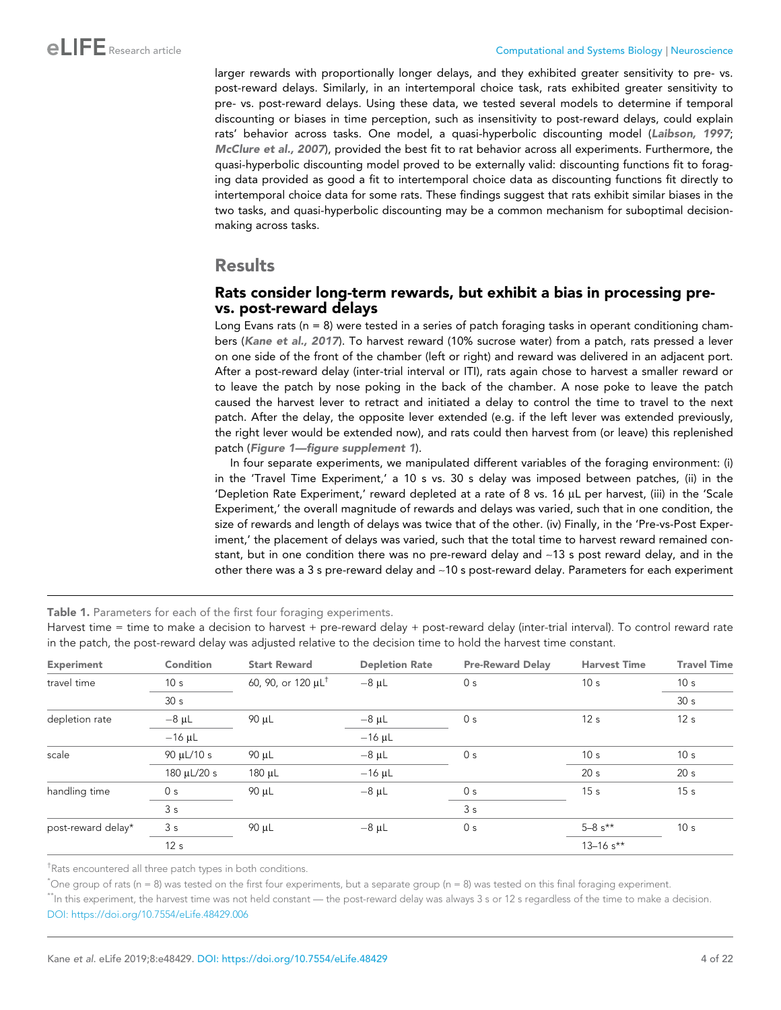<span id="page-3-0"></span>larger rewards with proportionally longer delays, and they exhibited greater sensitivity to pre- vs. post-reward delays. Similarly, in an intertemporal choice task, rats exhibited greater sensitivity to pre- vs. post-reward delays. Using these data, we tested several models to determine if temporal discounting or biases in time perception, such as insensitivity to post-reward delays, could explain rats' behavior across tasks. One model, a quasi-hyperbolic discounting model ([Laibson, 1997](#page-20-0); [McClure et al., 2007](#page-20-0)), provided the best fit to rat behavior across all experiments. Furthermore, the quasi-hyperbolic discounting model proved to be externally valid: discounting functions fit to foraging data provided as good a fit to intertemporal choice data as discounting functions fit directly to intertemporal choice data for some rats. These findings suggest that rats exhibit similar biases in the two tasks, and quasi-hyperbolic discounting may be a common mechanism for suboptimal decisionmaking across tasks.

# **Results**

### Rats consider long-term rewards, but exhibit a bias in processing prevs. post-reward delays

Long Evans rats ( $n = 8$ ) were tested in a series of patch foraging tasks in operant conditioning chambers ([Kane et al., 2017](#page-20-0)). To harvest reward (10% sucrose water) from a patch, rats pressed a lever on one side of the front of the chamber (left or right) and reward was delivered in an adjacent port. After a post-reward delay (inter-trial interval or ITI), rats again chose to harvest a smaller reward or to leave the patch by nose poking in the back of the chamber. A nose poke to leave the patch caused the harvest lever to retract and initiated a delay to control the time to travel to the next patch. After the delay, the opposite lever extended (e.g. if the left lever was extended previously, the right lever would be extended now), and rats could then harvest from (or leave) this replenished patch ([Figure 1—figure supplement 1](#page-5-0)).

In four separate experiments, we manipulated different variables of the foraging environment: (i) in the 'Travel Time Experiment,' a 10 s vs. 30 s delay was imposed between patches, (ii) in the 'Depletion Rate Experiment,' reward depleted at a rate of 8 vs. 16 µL per harvest, (iii) in the 'Scale Experiment,' the overall magnitude of rewards and delays was varied, such that in one condition, the size of rewards and length of delays was twice that of the other. (iv) Finally, in the 'Pre-vs-Post Experiment,' the placement of delays was varied, such that the total time to harvest reward remained constant, but in one condition there was no pre-reward delay and  $\sim$ 13 s post reward delay, and in the other there was a 3 s pre-reward delay and ~10 s post-reward delay. Parameters for each experiment

|  |  |  |  |  |  |  |  | Table 1. Parameters for each of the first four foraging experiments. |
|--|--|--|--|--|--|--|--|----------------------------------------------------------------------|
|--|--|--|--|--|--|--|--|----------------------------------------------------------------------|

Harvest time = time to make a decision to harvest + pre-reward delay + post-reward delay (inter-trial interval). To control reward rate in the patch, the post-reward delay was adjusted relative to the decision time to hold the harvest time constant.

| <b>Experiment</b>  | Condition       | <b>Start Reward</b>                 | <b>Depletion Rate</b> | <b>Pre-Reward Delay</b> | <b>Harvest Time</b>       | <b>Travel Time</b> |
|--------------------|-----------------|-------------------------------------|-----------------------|-------------------------|---------------------------|--------------------|
| travel time        | 10 <sub>s</sub> | 60, 90, or 120 $\mu$ L <sup>+</sup> | $-8$ µL               | 0 <sub>s</sub>          | 10 <sub>s</sub>           | 10 <sub>s</sub>    |
|                    | 30 <sub>s</sub> |                                     |                       |                         |                           | 30 <sub>s</sub>    |
| depletion rate     | $-8$ $\mu$ L    | $90 \mu L$                          | $-8$ $\mu$ L          | 0 <sub>s</sub>          | 12 <sub>s</sub>           | 12 <sub>s</sub>    |
|                    | $-16$ µL        |                                     | $-16$ $\mu$ L         |                         |                           |                    |
| scale              | 90 µL/10 s      | $90 \mu L$                          | $-8$ µL               | 0 <sub>s</sub>          | 10 <sub>s</sub>           | 10 <sub>s</sub>    |
|                    | 180 µL/20 s     | 180 µL                              | $-16$ µL              |                         | 20 <sub>s</sub>           | 20 <sub>s</sub>    |
| handling time      | 0 <sub>s</sub>  | $90 \mu L$                          | $-8$ µL               | 0 <sub>s</sub>          | 15 <sub>s</sub>           | 15 <sub>s</sub>    |
|                    | 3s              |                                     |                       | 3 <sub>s</sub>          |                           |                    |
| post-reward delay* | 3 <sub>s</sub>  | $90 \mu L$                          | $-8 \mu L$            | 0 <sub>s</sub>          | $5 - 8s^{**}$             | 10 <sub>s</sub>    |
|                    | 12 <sub>s</sub> |                                     |                       |                         | $13 - 16$ s <sup>**</sup> |                    |

† Rats encountered all three patch types in both conditions.

\*One group of rats (n = 8) was tested on the first four experiments, but a separate group (n = 8) was tested on this final foraging experiment.

\*\*In this experiment, the harvest time was not held constant — the post-reward delay was always 3 s or 12 s regardless of the time to make a decision. [DOI: https://doi.org/10.7554/eLife.48429.006](https://doi.org/10.7554/eLife.48429.006)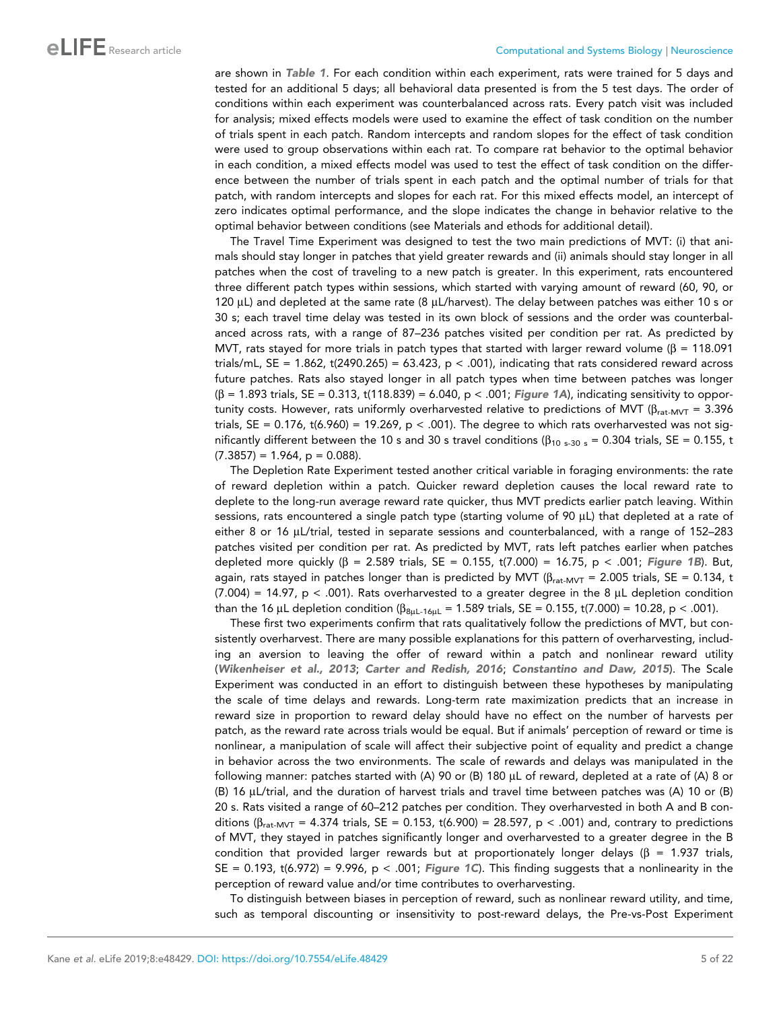are shown in [Table 1](#page-3-0). For each condition within each experiment, rats were trained for 5 days and tested for an additional 5 days; all behavioral data presented is from the 5 test days. The order of conditions within each experiment was counterbalanced across rats. Every patch visit was included for analysis; mixed effects models were used to examine the effect of task condition on the number of trials spent in each patch. Random intercepts and random slopes for the effect of task condition were used to group observations within each rat. To compare rat behavior to the optimal behavior in each condition, a mixed effects model was used to test the effect of task condition on the difference between the number of trials spent in each patch and the optimal number of trials for that patch, with random intercepts and slopes for each rat. For this mixed effects model, an intercept of zero indicates optimal performance, and the slope indicates the change in behavior relative to the optimal behavior between conditions (see Materials and ethods for additional detail).

The Travel Time Experiment was designed to test the two main predictions of MVT: (i) that animals should stay longer in patches that yield greater rewards and (ii) animals should stay longer in all patches when the cost of traveling to a new patch is greater. In this experiment, rats encountered three different patch types within sessions, which started with varying amount of reward (60, 90, or 120  $\mu$ L) and depleted at the same rate (8  $\mu$ L/harvest). The delay between patches was either 10 s or 30 s; each travel time delay was tested in its own block of sessions and the order was counterbalanced across rats, with a range of 87–236 patches visited per condition per rat. As predicted by MVT, rats stayed for more trials in patch types that started with larger reward volume ( $\beta$  = 118.091 trials/mL, SE = 1.862, t(2490.265) = 63.423, p < .001), indicating that rats considered reward across future patches. Rats also stayed longer in all patch types when time between patches was longer  $(\beta = 1.893 \text{ trials}, \text{SE} = 0.313, t(118.839) = 6.040, p < .001;$  [Figure 1A](#page-5-0)), indicating sensitivity to opportunity costs. However, rats uniformly overharvested relative to predictions of MVT ( $\beta_{\rm rat-MVT}$  = 3.396 trials, SE = 0.176, t(6.960) = 19.269,  $p < .001$ ). The degree to which rats overharvested was not significantly different between the 10 s and 30 s travel conditions ( $\beta_{10}$  s-30 s = 0.304 trials, SE = 0.155, t  $(7.3857) = 1.964$ ,  $p = 0.088$ ).

The Depletion Rate Experiment tested another critical variable in foraging environments: the rate of reward depletion within a patch. Quicker reward depletion causes the local reward rate to deplete to the long-run average reward rate quicker, thus MVT predicts earlier patch leaving. Within sessions, rats encountered a single patch type (starting volume of 90 µL) that depleted at a rate of either 8 or 16 µL/trial, tested in separate sessions and counterbalanced, with a range of 152-283 patches visited per condition per rat. As predicted by MVT, rats left patches earlier when patches depleted more quickly ( $\beta$  = 2.589 trials, SE = 0.155, t(7.000) = 16.75, p < .001; [Figure 1B](#page-5-0)). But, again, rats stayed in patches longer than is predicted by MVT ( $\beta_{\text{rat-MVT}}$  = 2.005 trials, SE = 0.134, t  $(7.004)$  = 14.97, p < .001). Rats overharvested to a greater degree in the 8 µL depletion condition than the 16 µL depletion condition ( $\beta_{8\mu L-16\mu L}$  = 1.589 trials, SE = 0.155, t(7.000) = 10.28, p < .001).

These first two experiments confirm that rats qualitatively follow the predictions of MVT, but consistently overharvest. There are many possible explanations for this pattern of overharvesting, including an aversion to leaving the offer of reward within a patch and nonlinear reward utility ([Wikenheiser et al., 2013](#page-21-0); [Carter and Redish, 2016](#page-20-0); [Constantino and Daw, 2015](#page-20-0)). The Scale Experiment was conducted in an effort to distinguish between these hypotheses by manipulating the scale of time delays and rewards. Long-term rate maximization predicts that an increase in reward size in proportion to reward delay should have no effect on the number of harvests per patch, as the reward rate across trials would be equal. But if animals' perception of reward or time is nonlinear, a manipulation of scale will affect their subjective point of equality and predict a change in behavior across the two environments. The scale of rewards and delays was manipulated in the following manner: patches started with (A) 90 or (B) 180  $\mu$ L of reward, depleted at a rate of (A) 8 or (B) 16 mL/trial, and the duration of harvest trials and travel time between patches was (A) 10 or (B) 20 s. Rats visited a range of 60–212 patches per condition. They overharvested in both A and B conditions ( $\beta_{\text{rat-MVT}}$  = 4.374 trials, SE = 0.153, t(6.900) = 28.597, p < .001) and, contrary to predictions of MVT, they stayed in patches significantly longer and overharvested to a greater degree in the B condition that provided larger rewards but at proportionately longer delays ( $\beta$  = 1.937 trials, SE = 0.193, t(6.972) = 9.996,  $p < .001$ ; [Figure 1C](#page-5-0)). This finding suggests that a nonlinearity in the perception of reward value and/or time contributes to overharvesting.

To distinguish between biases in perception of reward, such as nonlinear reward utility, and time, such as temporal discounting or insensitivity to post-reward delays, the Pre-vs-Post Experiment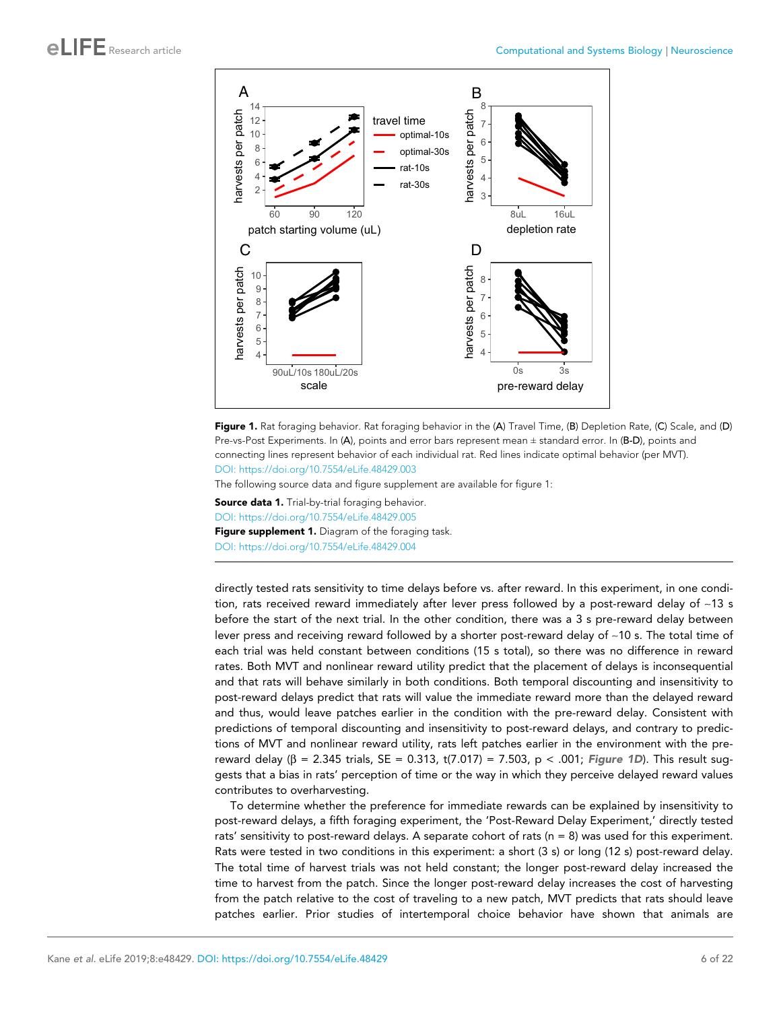<span id="page-5-0"></span>



The following source data and figure supplement are available for figure 1:

Source data 1. Trial-by-trial foraging behavior. [DOI: https://doi.org/10.7554/eLife.48429.005](https://doi.org/10.7554/eLife.48429.005) Figure supplement 1. Diagram of the foraging task. [DOI: https://doi.org/10.7554/eLife.48429.004](https://doi.org/10.7554/eLife.48429.004)

directly tested rats sensitivity to time delays before vs. after reward. In this experiment, in one condition, rats received reward immediately after lever press followed by a post-reward delay of ~13 s before the start of the next trial. In the other condition, there was a 3 s pre-reward delay between lever press and receiving reward followed by a shorter post-reward delay of ~10 s. The total time of each trial was held constant between conditions (15 s total), so there was no difference in reward rates. Both MVT and nonlinear reward utility predict that the placement of delays is inconsequential and that rats will behave similarly in both conditions. Both temporal discounting and insensitivity to post-reward delays predict that rats will value the immediate reward more than the delayed reward and thus, would leave patches earlier in the condition with the pre-reward delay. Consistent with predictions of temporal discounting and insensitivity to post-reward delays, and contrary to predictions of MVT and nonlinear reward utility, rats left patches earlier in the environment with the prereward delay ( $\beta$  = 2.345 trials, SE = 0.313, t(7.017) = 7.503, p < .001; Figure 1D). This result suggests that a bias in rats' perception of time or the way in which they perceive delayed reward values contributes to overharvesting.

To determine whether the preference for immediate rewards can be explained by insensitivity to post-reward delays, a fifth foraging experiment, the 'Post-Reward Delay Experiment,' directly tested rats' sensitivity to post-reward delays. A separate cohort of rats ( $n = 8$ ) was used for this experiment. Rats were tested in two conditions in this experiment: a short (3 s) or long (12 s) post-reward delay. The total time of harvest trials was not held constant; the longer post-reward delay increased the time to harvest from the patch. Since the longer post-reward delay increases the cost of harvesting from the patch relative to the cost of traveling to a new patch, MVT predicts that rats should leave patches earlier. Prior studies of intertemporal choice behavior have shown that animals are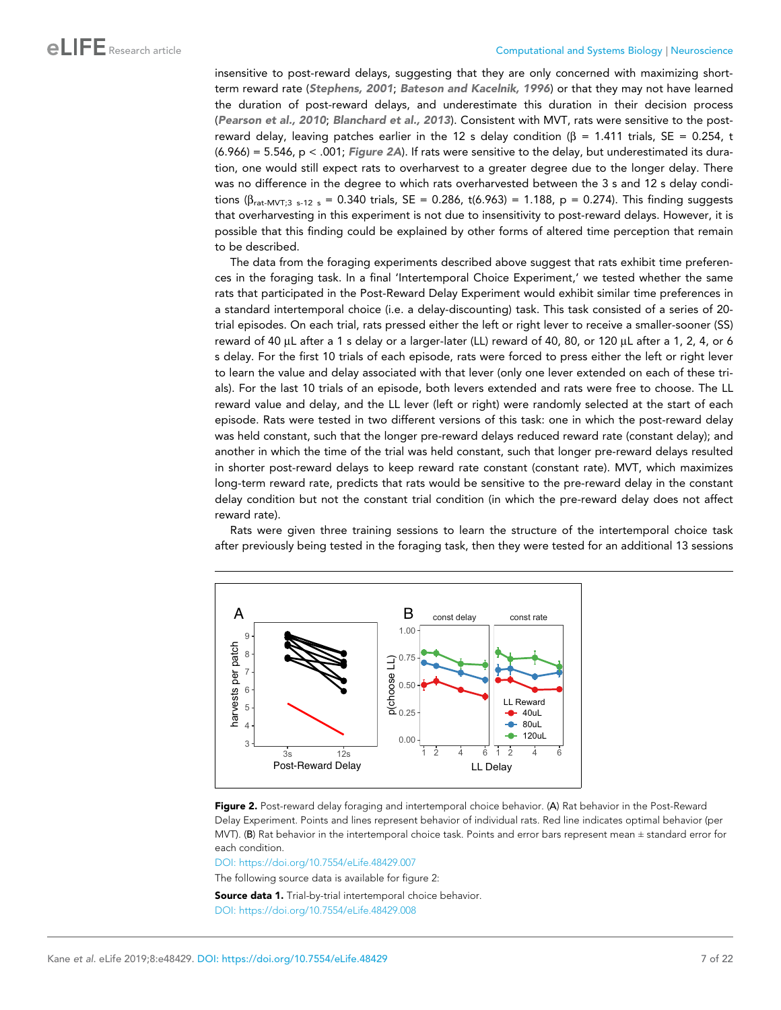<span id="page-6-0"></span>insensitive to post-reward delays, suggesting that they are only concerned with maximizing shortterm reward rate ([Stephens, 2001](#page-21-0); [Bateson and Kacelnik, 1996](#page-20-0)) or that they may not have learned the duration of post-reward delays, and underestimate this duration in their decision process ([Pearson et al., 2010](#page-21-0); [Blanchard et al., 2013](#page-20-0)). Consistent with MVT, rats were sensitive to the postreward delay, leaving patches earlier in the 12 s delay condition ( $\beta$  = 1.411 trials, SE = 0.254, t  $(6.966) = 5.546$ , p < .001; Figure 2A). If rats were sensitive to the delay, but underestimated its duration, one would still expect rats to overharvest to a greater degree due to the longer delay. There was no difference in the degree to which rats overharvested between the 3 s and 12 s delay conditions ( $\beta_{\text{rat-MVT}:3 \text{ s-12 s}} = 0.340$  trials, SE = 0.286, t(6.963) = 1.188, p = 0.274). This finding suggests that overharvesting in this experiment is not due to insensitivity to post-reward delays. However, it is possible that this finding could be explained by other forms of altered time perception that remain to be described.

The data from the foraging experiments described above suggest that rats exhibit time preferences in the foraging task. In a final 'Intertemporal Choice Experiment,' we tested whether the same rats that participated in the Post-Reward Delay Experiment would exhibit similar time preferences in a standard intertemporal choice (i.e. a delay-discounting) task. This task consisted of a series of 20 trial episodes. On each trial, rats pressed either the left or right lever to receive a smaller-sooner (SS) reward of 40 µL after a 1 s delay or a larger-later (LL) reward of 40, 80, or 120 µL after a 1, 2, 4, or 6 s delay. For the first 10 trials of each episode, rats were forced to press either the left or right lever to learn the value and delay associated with that lever (only one lever extended on each of these trials). For the last 10 trials of an episode, both levers extended and rats were free to choose. The LL reward value and delay, and the LL lever (left or right) were randomly selected at the start of each episode. Rats were tested in two different versions of this task: one in which the post-reward delay was held constant, such that the longer pre-reward delays reduced reward rate (constant delay); and another in which the time of the trial was held constant, such that longer pre-reward delays resulted in shorter post-reward delays to keep reward rate constant (constant rate). MVT, which maximizes long-term reward rate, predicts that rats would be sensitive to the pre-reward delay in the constant delay condition but not the constant trial condition (in which the pre-reward delay does not affect reward rate).

Rats were given three training sessions to learn the structure of the intertemporal choice task after previously being tested in the foraging task, then they were tested for an additional 13 sessions



Figure 2. Post-reward delay foraging and intertemporal choice behavior. (A) Rat behavior in the Post-Reward Delay Experiment. Points and lines represent behavior of individual rats. Red line indicates optimal behavior (per MVT). (B) Rat behavior in the intertemporal choice task. Points and error bars represent mean ± standard error for each condition.

[DOI: https://doi.org/10.7554/eLife.48429.007](https://doi.org/10.7554/eLife.48429.007)

The following source data is available for figure 2:

Source data 1. Trial-by-trial intertemporal choice behavior. [DOI: https://doi.org/10.7554/eLife.48429.008](https://doi.org/10.7554/eLife.48429.008)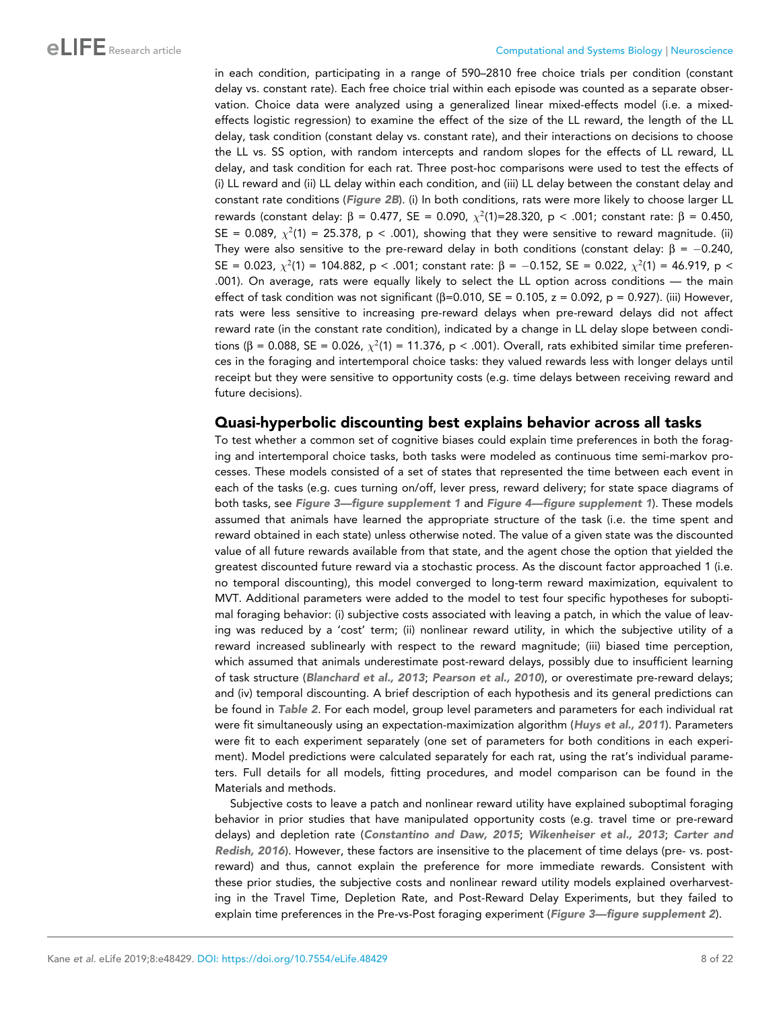in each condition, participating in a range of 590–2810 free choice trials per condition (constant delay vs. constant rate). Each free choice trial within each episode was counted as a separate observation. Choice data were analyzed using a generalized linear mixed-effects model (i.e. a mixedeffects logistic regression) to examine the effect of the size of the LL reward, the length of the LL delay, task condition (constant delay vs. constant rate), and their interactions on decisions to choose the LL vs. SS option, with random intercepts and random slopes for the effects of LL reward, LL delay, and task condition for each rat. Three post-hoc comparisons were used to test the effects of (i) LL reward and (ii) LL delay within each condition, and (iii) LL delay between the constant delay and constant rate conditions ([Figure 2B](#page-6-0)). (i) In both conditions, rats were more likely to choose larger LL rewards (constant delay:  $\beta = 0.477$ , SE = 0.090,  $\chi^2(1)$ =28.320, p < .001; constant rate:  $\beta = 0.450$ , SE = 0.089,  $\chi^2(1)$  = 25.378, p < .001), showing that they were sensitive to reward magnitude. (ii) They were also sensitive to the pre-reward delay in both conditions (constant delay:  $\beta = -0.240$ , SE = 0.023,  $\chi^2(1)$  = 104.882, p < .001; constant rate:  $\beta$  = -0.152, SE = 0.022,  $\chi^2(1)$  = 46.919, p < .001). On average, rats were equally likely to select the LL option across conditions — the main effect of task condition was not significant ( $\beta$ =0.010, SE = 0.105, z = 0.092, p = 0.927). (iii) However, rats were less sensitive to increasing pre-reward delays when pre-reward delays did not affect reward rate (in the constant rate condition), indicated by a change in LL delay slope between conditions ( $\beta$  = 0.088, SE = 0.026,  $\chi^2(1)$  = 11.376, p < .001). Overall, rats exhibited similar time preferences in the foraging and intertemporal choice tasks: they valued rewards less with longer delays until receipt but they were sensitive to opportunity costs (e.g. time delays between receiving reward and future decisions).

### Quasi-hyperbolic discounting best explains behavior across all tasks

To test whether a common set of cognitive biases could explain time preferences in both the foraging and intertemporal choice tasks, both tasks were modeled as continuous time semi-markov processes. These models consisted of a set of states that represented the time between each event in each of the tasks (e.g. cues turning on/off, lever press, reward delivery; for state space diagrams of both tasks, see [Figure 3—figure supplement 1](#page-9-0) and [Figure 4—figure supplement 1](#page-10-0)). These models assumed that animals have learned the appropriate structure of the task (i.e. the time spent and reward obtained in each state) unless otherwise noted. The value of a given state was the discounted value of all future rewards available from that state, and the agent chose the option that yielded the greatest discounted future reward via a stochastic process. As the discount factor approached 1 (i.e. no temporal discounting), this model converged to long-term reward maximization, equivalent to MVT. Additional parameters were added to the model to test four specific hypotheses for suboptimal foraging behavior: (i) subjective costs associated with leaving a patch, in which the value of leaving was reduced by a 'cost' term; (ii) nonlinear reward utility, in which the subjective utility of a reward increased sublinearly with respect to the reward magnitude; (iii) biased time perception, which assumed that animals underestimate post-reward delays, possibly due to insufficient learning of task structure ([Blanchard et al., 2013](#page-20-0); [Pearson et al., 2010](#page-21-0)), or overestimate pre-reward delays; and (iv) temporal discounting. A brief description of each hypothesis and its general predictions can be found in [Table 2](#page-8-0). For each model, group level parameters and parameters for each individual rat were fit simultaneously using an expectation-maximization algorithm ([Huys et al., 2011](#page-20-0)). Parameters were fit to each experiment separately (one set of parameters for both conditions in each experiment). Model predictions were calculated separately for each rat, using the rat's individual parameters. Full details for all models, fitting procedures, and model comparison can be found in the Materials and methods.

Subjective costs to leave a patch and nonlinear reward utility have explained suboptimal foraging behavior in prior studies that have manipulated opportunity costs (e.g. travel time or pre-reward delays) and depletion rate ([Constantino and Daw, 2015](#page-20-0); [Wikenheiser et al., 2013](#page-21-0); [Carter and](#page-20-0) [Redish, 2016](#page-20-0)). However, these factors are insensitive to the placement of time delays (pre- vs. postreward) and thus, cannot explain the preference for more immediate rewards. Consistent with these prior studies, the subjective costs and nonlinear reward utility models explained overharvesting in the Travel Time, Depletion Rate, and Post-Reward Delay Experiments, but they failed to explain time preferences in the Pre-vs-Post foraging experiment ([Figure 3—figure supplement 2](#page-9-0)).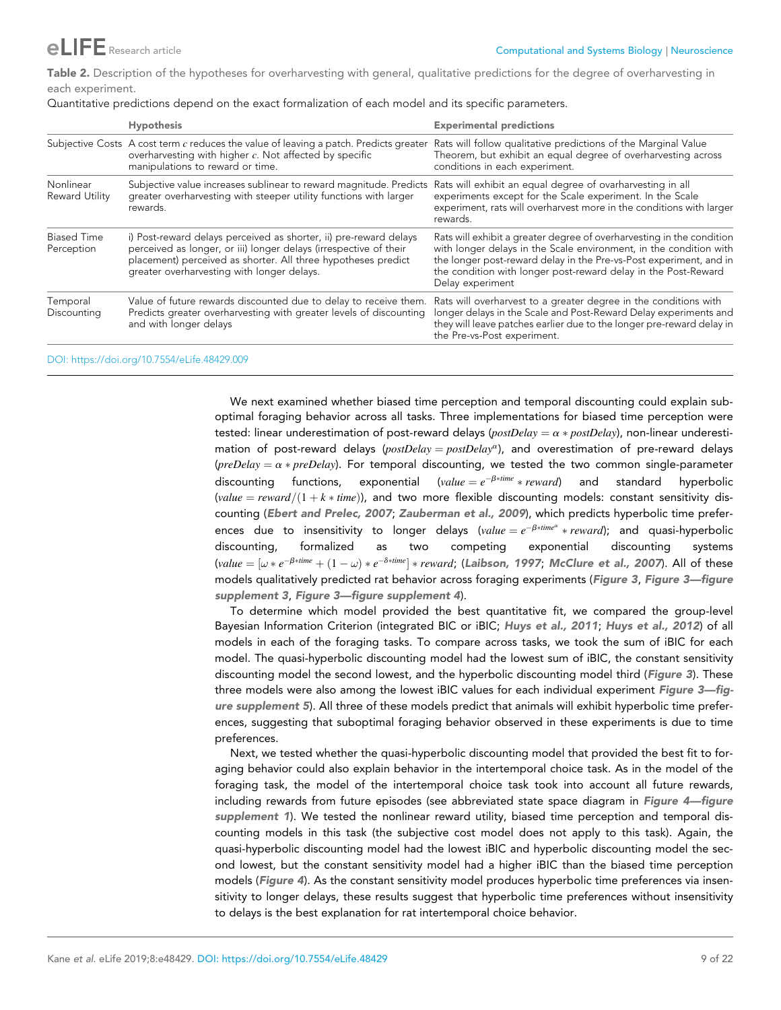<span id="page-8-0"></span>Table 2. Description of the hypotheses for overharvesting with general, qualitative predictions for the degree of overharvesting in each experiment.

| Quantitative predictions depend on the exact formalization of each model and its specific parameters. |  |  |  |  |  |
|-------------------------------------------------------------------------------------------------------|--|--|--|--|--|
|                                                                                                       |  |  |  |  |  |

|                                  | <b>Hypothesis</b>                                                                                                                                                                                                                                     | <b>Experimental predictions</b>                                                                                                                                                                                                                                                                         |
|----------------------------------|-------------------------------------------------------------------------------------------------------------------------------------------------------------------------------------------------------------------------------------------------------|---------------------------------------------------------------------------------------------------------------------------------------------------------------------------------------------------------------------------------------------------------------------------------------------------------|
|                                  | Subjective Costs A cost term $c$ reduces the value of leaving a patch. Predicts greater<br>overharvesting with higher c. Not affected by specific<br>manipulations to reward or time.                                                                 | Rats will follow qualitative predictions of the Marginal Value<br>Theorem, but exhibit an equal degree of overharvesting across<br>conditions in each experiment.                                                                                                                                       |
| Nonlinear<br>Reward Utility      | Subjective value increases sublinear to reward magnitude. Predicts<br>greater overharvesting with steeper utility functions with larger<br>rewards.                                                                                                   | Rats will exhibit an equal degree of ovarharvesting in all<br>experiments except for the Scale experiment. In the Scale<br>experiment, rats will overharvest more in the conditions with larger<br>rewards.                                                                                             |
| <b>Biased Time</b><br>Perception | i) Post-reward delays perceived as shorter, ii) pre-reward delays<br>perceived as longer, or iii) longer delays (irrespective of their<br>placement) perceived as shorter. All three hypotheses predict<br>greater overharvesting with longer delays. | Rats will exhibit a greater degree of overharvesting in the condition<br>with longer delays in the Scale environment, in the condition with<br>the longer post-reward delay in the Pre-vs-Post experiment, and in<br>the condition with longer post-reward delay in the Post-Reward<br>Delay experiment |
| Temporal<br>Discounting          | Value of future rewards discounted due to delay to receive them.<br>Predicts greater overharvesting with greater levels of discounting<br>and with longer delays                                                                                      | Rats will overharvest to a greater degree in the conditions with<br>longer delays in the Scale and Post-Reward Delay experiments and<br>they will leave patches earlier due to the longer pre-reward delay in<br>the Pre-vs-Post experiment.                                                            |

[DOI: https://doi.org/10.7554/eLife.48429.009](https://doi.org/10.7554/eLife.48429.009)

We next examined whether biased time perception and temporal discounting could explain suboptimal foraging behavior across all tasks. Three implementations for biased time perception were tested: linear underestimation of post-reward delays (postDelay =  $\alpha * postDelay$ ), non-linear underestimation of post-reward delays (postDelay =  $postDelay^{\alpha}$ ), and overestimation of pre-reward delays (preDelay =  $\alpha$  \* preDelay). For temporal discounting, we tested the two common single-parameter discounting functions, exponential  $\text{value} = e^{-\beta * \text{time}} * \text{reward}$  and standard hyperbolic (value = reward/ $(1 + k * time)$ ), and two more flexible discounting models: constant sensitivity discounting ([Ebert and Prelec, 2007](#page-20-0); [Zauberman et al., 2009](#page-21-0)), which predicts hyperbolic time preferences due to insensitivity to longer delays (value  $= e^{-\beta * time^{\alpha}} * reward$ ); and quasi-hyperbolic discounting, formalized as two competing exponential discounting systems (value  $=[\omega* e^{-\beta*time}+(1-\omega)*e^{-\delta*time}]*reward$ ; ([Laibson, 1997](#page-20-0); [McClure et al., 2007](#page-20-0)). All of these models qualitatively predicted rat behavior across foraging experiments ([Figure 3](#page-9-0), Figure 3-figure [supplement 3](#page-9-0), [Figure 3—figure supplement 4](#page-9-0)).

To determine which model provided the best quantitative fit, we compared the group-level Bayesian Information Criterion (integrated BIC or iBIC; [Huys et al., 2011](#page-20-0); [Huys et al., 2012](#page-20-0)) of all models in each of the foraging tasks. To compare across tasks, we took the sum of iBIC for each model. The quasi-hyperbolic discounting model had the lowest sum of iBIC, the constant sensitivity discounting model the second lowest, and the hyperbolic discounting model third ([Figure 3](#page-9-0)). These three models were also among the lowest iBIC values for each individual experiment Figure 3-fig[ure supplement 5](#page-9-0)). All three of these models predict that animals will exhibit hyperbolic time preferences, suggesting that suboptimal foraging behavior observed in these experiments is due to time preferences.

Next, we tested whether the quasi-hyperbolic discounting model that provided the best fit to foraging behavior could also explain behavior in the intertemporal choice task. As in the model of the foraging task, the model of the intertemporal choice task took into account all future rewards, including rewards from future episodes (see abbreviated state space diagram in [Figure 4—figure](#page-10-0) [supplement 1](#page-10-0)). We tested the nonlinear reward utility, biased time perception and temporal discounting models in this task (the subjective cost model does not apply to this task). Again, the quasi-hyperbolic discounting model had the lowest iBIC and hyperbolic discounting model the second lowest, but the constant sensitivity model had a higher iBIC than the biased time perception models ([Figure 4](#page-10-0)). As the constant sensitivity model produces hyperbolic time preferences via insensitivity to longer delays, these results suggest that hyperbolic time preferences without insensitivity to delays is the best explanation for rat intertemporal choice behavior.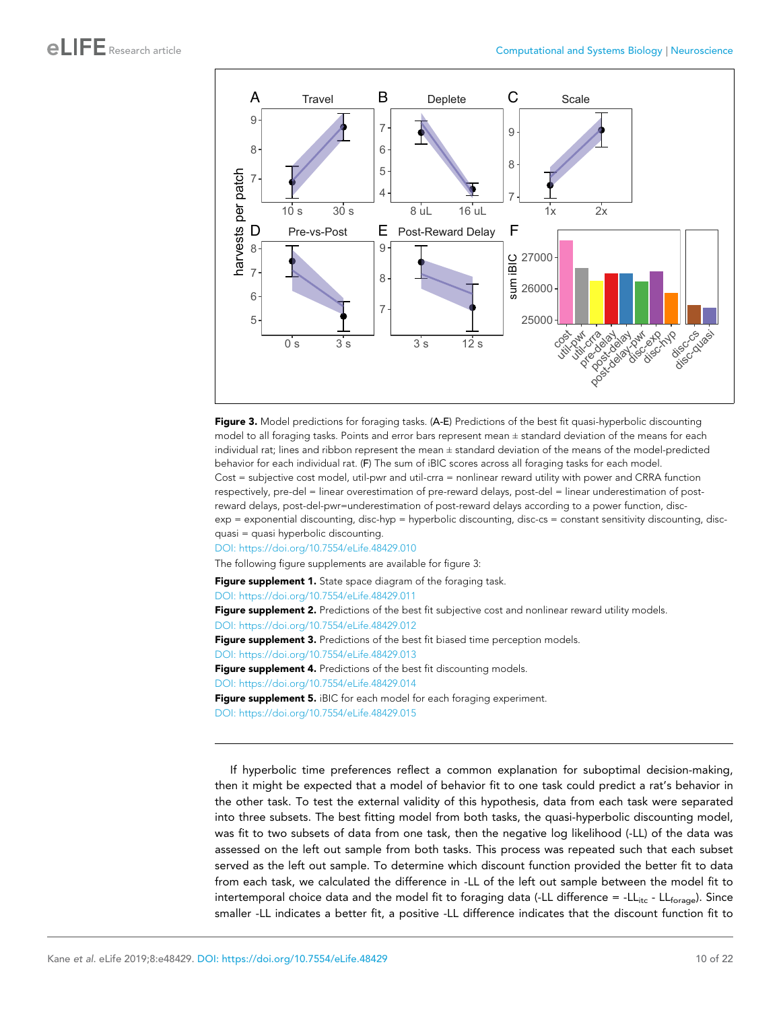<span id="page-9-0"></span>

Figure 3. Model predictions for foraging tasks. (A-E) Predictions of the best fit quasi-hyperbolic discounting model to all foraging tasks. Points and error bars represent mean ± standard deviation of the means for each individual rat; lines and ribbon represent the mean ± standard deviation of the means of the model-predicted behavior for each individual rat. (F) The sum of iBIC scores across all foraging tasks for each model. Cost = subjective cost model, util-pwr and util-crra = nonlinear reward utility with power and CRRA function respectively, pre-del = linear overestimation of pre-reward delays, post-del = linear underestimation of postreward delays, post-del-pwr=underestimation of post-reward delays according to a power function, discexp = exponential discounting, disc-hyp = hyperbolic discounting, disc-cs = constant sensitivity discounting, discquasi = quasi hyperbolic discounting.

### [DOI: https://doi.org/10.7554/eLife.48429.010](https://doi.org/10.7554/eLife.48429.010)

The following figure supplements are available for figure 3:

Figure supplement 1. State space diagram of the foraging task.

[DOI: https://doi.org/10.7554/eLife.48429.011](https://doi.org/10.7554/eLife.48429.011)

Figure supplement 2. Predictions of the best fit subjective cost and nonlinear reward utility models.

[DOI: https://doi.org/10.7554/eLife.48429.012](https://doi.org/10.7554/eLife.48429.012)

Figure supplement 3. Predictions of the best fit biased time perception models.

[DOI: https://doi.org/10.7554/eLife.48429.013](https://doi.org/10.7554/eLife.48429.013)

Figure supplement 4. Predictions of the best fit discounting models.

[DOI: https://doi.org/10.7554/eLife.48429.014](https://doi.org/10.7554/eLife.48429.014)

Figure supplement 5. iBIC for each model for each foraging experiment.

If hyperbolic time preferences reflect a common explanation for suboptimal decision-making, then it might be expected that a model of behavior fit to one task could predict a rat's behavior in the other task. To test the external validity of this hypothesis, data from each task were separated into three subsets. The best fitting model from both tasks, the quasi-hyperbolic discounting model, was fit to two subsets of data from one task, then the negative log likelihood (-LL) of the data was assessed on the left out sample from both tasks. This process was repeated such that each subset served as the left out sample. To determine which discount function provided the better fit to data from each task, we calculated the difference in -LL of the left out sample between the model fit to intertemporal choice data and the model fit to foraging data (-LL difference = -LL<sub>itc</sub> - LL<sub>forage</sub>). Since smaller -LL indicates a better fit, a positive -LL difference indicates that the discount function fit to

[DOI: https://doi.org/10.7554/eLife.48429.015](https://doi.org/10.7554/eLife.48429.015)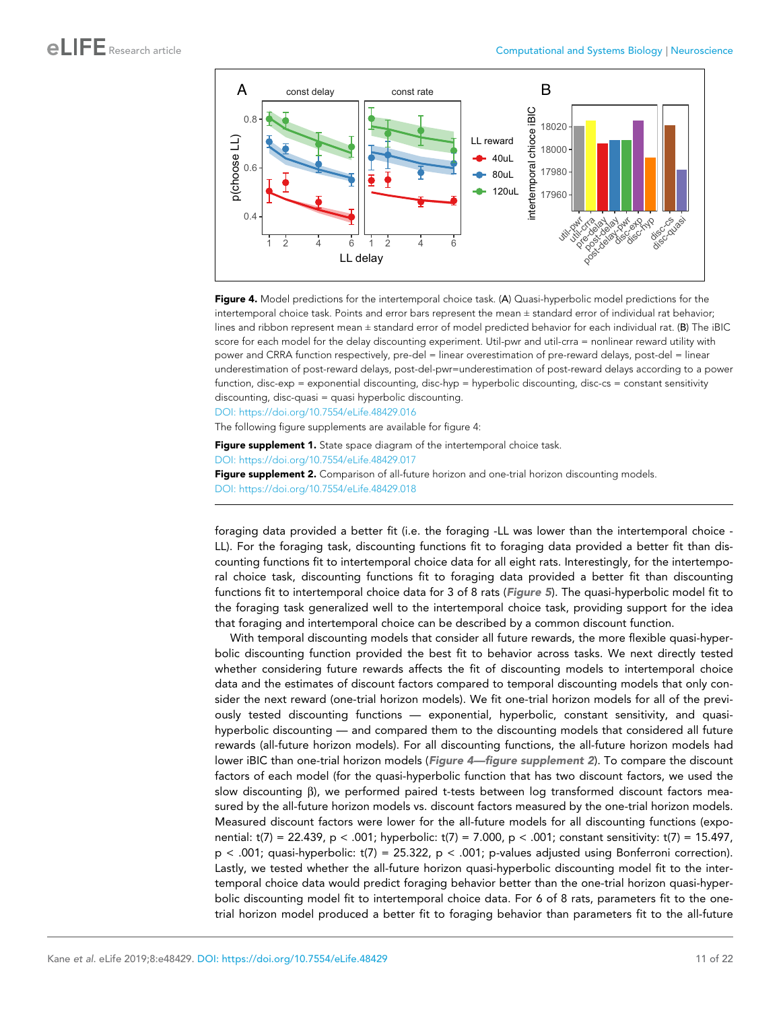<span id="page-10-0"></span>

Figure 4. Model predictions for the intertemporal choice task. (A) Quasi-hyperbolic model predictions for the intertemporal choice task. Points and error bars represent the mean ± standard error of individual rat behavior; lines and ribbon represent mean ± standard error of model predicted behavior for each individual rat. (B) The iBIC score for each model for the delay discounting experiment. Util-pwr and util-crra = nonlinear reward utility with power and CRRA function respectively, pre-del = linear overestimation of pre-reward delays, post-del = linear underestimation of post-reward delays, post-del-pwr=underestimation of post-reward delays according to a power function, disc-exp = exponential discounting, disc-hyp = hyperbolic discounting, disc-cs = constant sensitivity discounting, disc-quasi = quasi hyperbolic discounting.

[DOI: https://doi.org/10.7554/eLife.48429.016](https://doi.org/10.7554/eLife.48429.016)

The following figure supplements are available for figure 4:

Figure supplement 1. State space diagram of the intertemporal choice task.

[DOI: https://doi.org/10.7554/eLife.48429.017](https://doi.org/10.7554/eLife.48429.017)

Figure supplement 2. Comparison of all-future horizon and one-trial horizon discounting models.

[DOI: https://doi.org/10.7554/eLife.48429.018](https://doi.org/10.7554/eLife.48429.018)

foraging data provided a better fit (i.e. the foraging -LL was lower than the intertemporal choice - LL). For the foraging task, discounting functions fit to foraging data provided a better fit than discounting functions fit to intertemporal choice data for all eight rats. Interestingly, for the intertemporal choice task, discounting functions fit to foraging data provided a better fit than discounting functions fit to intertemporal choice data for 3 of 8 rats ([Figure 5](#page-11-0)). The quasi-hyperbolic model fit to the foraging task generalized well to the intertemporal choice task, providing support for the idea that foraging and intertemporal choice can be described by a common discount function.

With temporal discounting models that consider all future rewards, the more flexible quasi-hyperbolic discounting function provided the best fit to behavior across tasks. We next directly tested whether considering future rewards affects the fit of discounting models to intertemporal choice data and the estimates of discount factors compared to temporal discounting models that only consider the next reward (one-trial horizon models). We fit one-trial horizon models for all of the previously tested discounting functions — exponential, hyperbolic, constant sensitivity, and quasihyperbolic discounting — and compared them to the discounting models that considered all future rewards (all-future horizon models). For all discounting functions, the all-future horizon models had lower iBIC than one-trial horizon models (Figure 4—figure supplement 2). To compare the discount factors of each model (for the quasi-hyperbolic function that has two discount factors, we used the slow discounting  $\beta$ ), we performed paired t-tests between log transformed discount factors measured by the all-future horizon models vs. discount factors measured by the one-trial horizon models. Measured discount factors were lower for the all-future models for all discounting functions (exponential: t(7) = 22.439, p < .001; hyperbolic: t(7) = 7.000, p < .001; constant sensitivity: t(7) = 15.497,  $p < .001$ ; quasi-hyperbolic: t(7) = 25.322,  $p < .001$ ; p-values adjusted using Bonferroni correction). Lastly, we tested whether the all-future horizon quasi-hyperbolic discounting model fit to the intertemporal choice data would predict foraging behavior better than the one-trial horizon quasi-hyperbolic discounting model fit to intertemporal choice data. For 6 of 8 rats, parameters fit to the onetrial horizon model produced a better fit to foraging behavior than parameters fit to the all-future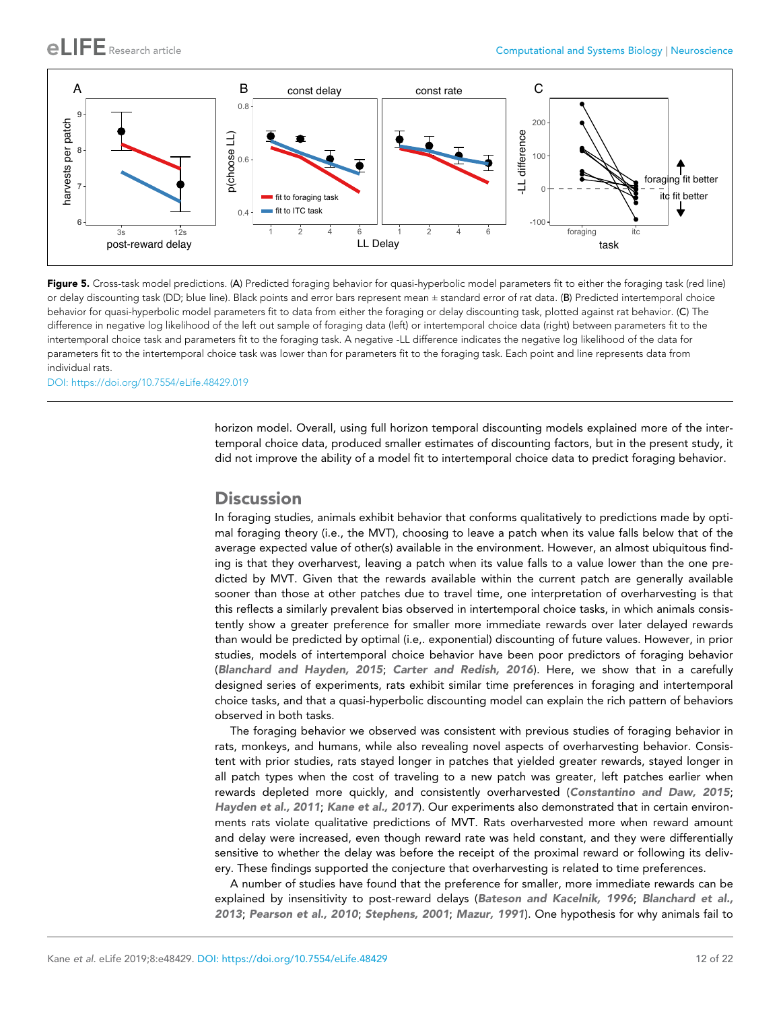<span id="page-11-0"></span>

Figure 5. Cross-task model predictions. (A) Predicted foraging behavior for quasi-hyperbolic model parameters fit to either the foraging task (red line) or delay discounting task (DD; blue line). Black points and error bars represent mean ± standard error of rat data. (B) Predicted intertemporal choice behavior for quasi-hyperbolic model parameters fit to data from either the foraging or delay discounting task, plotted against rat behavior. (C) The difference in negative log likelihood of the left out sample of foraging data (left) or intertemporal choice data (right) between parameters fit to the intertemporal choice task and parameters fit to the foraging task. A negative -LL difference indicates the negative log likelihood of the data for parameters fit to the intertemporal choice task was lower than for parameters fit to the foraging task. Each point and line represents data from individual rats.

[DOI: https://doi.org/10.7554/eLife.48429.019](https://doi.org/10.7554/eLife.48429.019)

horizon model. Overall, using full horizon temporal discounting models explained more of the intertemporal choice data, produced smaller estimates of discounting factors, but in the present study, it did not improve the ability of a model fit to intertemporal choice data to predict foraging behavior.

# **Discussion**

In foraging studies, animals exhibit behavior that conforms qualitatively to predictions made by optimal foraging theory (i.e., the MVT), choosing to leave a patch when its value falls below that of the average expected value of other(s) available in the environment. However, an almost ubiquitous finding is that they overharvest, leaving a patch when its value falls to a value lower than the one predicted by MVT. Given that the rewards available within the current patch are generally available sooner than those at other patches due to travel time, one interpretation of overharvesting is that this reflects a similarly prevalent bias observed in intertemporal choice tasks, in which animals consistently show a greater preference for smaller more immediate rewards over later delayed rewards than would be predicted by optimal (i.e,. exponential) discounting of future values. However, in prior studies, models of intertemporal choice behavior have been poor predictors of foraging behavior ([Blanchard and Hayden, 2015](#page-20-0); [Carter and Redish, 2016](#page-20-0)). Here, we show that in a carefully designed series of experiments, rats exhibit similar time preferences in foraging and intertemporal choice tasks, and that a quasi-hyperbolic discounting model can explain the rich pattern of behaviors observed in both tasks.

The foraging behavior we observed was consistent with previous studies of foraging behavior in rats, monkeys, and humans, while also revealing novel aspects of overharvesting behavior. Consistent with prior studies, rats stayed longer in patches that yielded greater rewards, stayed longer in all patch types when the cost of traveling to a new patch was greater, left patches earlier when rewards depleted more quickly, and consistently overharvested ([Constantino and Daw, 2015](#page-20-0); [Hayden et al., 2011](#page-20-0); [Kane et al., 2017](#page-20-0)). Our experiments also demonstrated that in certain environments rats violate qualitative predictions of MVT. Rats overharvested more when reward amount and delay were increased, even though reward rate was held constant, and they were differentially sensitive to whether the delay was before the receipt of the proximal reward or following its delivery. These findings supported the conjecture that overharvesting is related to time preferences.

A number of studies have found that the preference for smaller, more immediate rewards can be explained by insensitivity to post-reward delays ([Bateson and Kacelnik, 1996](#page-20-0); [Blanchard et al.,](#page-20-0) [2013](#page-20-0); [Pearson et al., 2010](#page-21-0); [Stephens, 2001](#page-21-0); [Mazur, 1991](#page-20-0)). One hypothesis for why animals fail to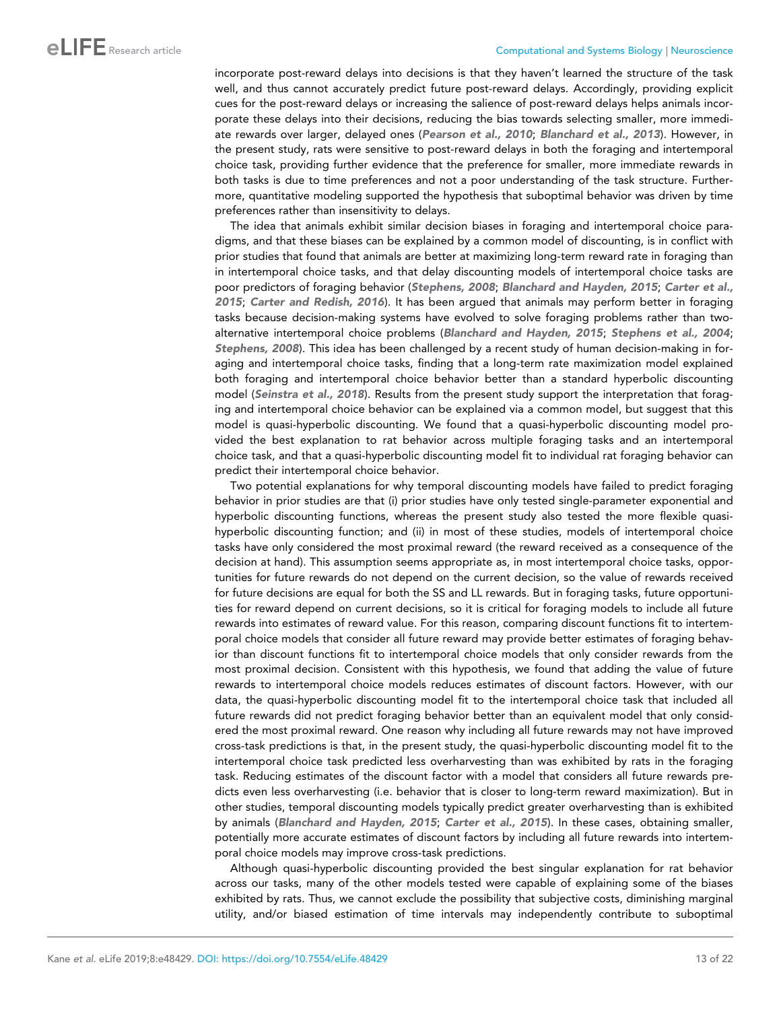incorporate post-reward delays into decisions is that they haven't learned the structure of the task well, and thus cannot accurately predict future post-reward delays. Accordingly, providing explicit cues for the post-reward delays or increasing the salience of post-reward delays helps animals incorporate these delays into their decisions, reducing the bias towards selecting smaller, more immediate rewards over larger, delayed ones ([Pearson et al., 2010](#page-21-0); [Blanchard et al., 2013](#page-20-0)). However, in the present study, rats were sensitive to post-reward delays in both the foraging and intertemporal choice task, providing further evidence that the preference for smaller, more immediate rewards in both tasks is due to time preferences and not a poor understanding of the task structure. Furthermore, quantitative modeling supported the hypothesis that suboptimal behavior was driven by time preferences rather than insensitivity to delays.

The idea that animals exhibit similar decision biases in foraging and intertemporal choice paradigms, and that these biases can be explained by a common model of discounting, is in conflict with prior studies that found that animals are better at maximizing long-term reward rate in foraging than in intertemporal choice tasks, and that delay discounting models of intertemporal choice tasks are poor predictors of foraging behavior ([Stephens, 2008](#page-21-0); [Blanchard and Hayden, 2015](#page-20-0); [Carter et al.,](#page-20-0) [2015](#page-20-0); [Carter and Redish, 2016](#page-20-0)). It has been argued that animals may perform better in foraging tasks because decision-making systems have evolved to solve foraging problems rather than twoalternative intertemporal choice problems ([Blanchard and Hayden, 2015](#page-20-0); [Stephens et al., 2004](#page-21-0); [Stephens, 2008](#page-21-0)). This idea has been challenged by a recent study of human decision-making in foraging and intertemporal choice tasks, finding that a long-term rate maximization model explained both foraging and intertemporal choice behavior better than a standard hyperbolic discounting model ([Seinstra et al., 2018](#page-21-0)). Results from the present study support the interpretation that foraging and intertemporal choice behavior can be explained via a common model, but suggest that this model is quasi-hyperbolic discounting. We found that a quasi-hyperbolic discounting model provided the best explanation to rat behavior across multiple foraging tasks and an intertemporal choice task, and that a quasi-hyperbolic discounting model fit to individual rat foraging behavior can predict their intertemporal choice behavior.

Two potential explanations for why temporal discounting models have failed to predict foraging behavior in prior studies are that (i) prior studies have only tested single-parameter exponential and hyperbolic discounting functions, whereas the present study also tested the more flexible quasihyperbolic discounting function; and (ii) in most of these studies, models of intertemporal choice tasks have only considered the most proximal reward (the reward received as a consequence of the decision at hand). This assumption seems appropriate as, in most intertemporal choice tasks, opportunities for future rewards do not depend on the current decision, so the value of rewards received for future decisions are equal for both the SS and LL rewards. But in foraging tasks, future opportunities for reward depend on current decisions, so it is critical for foraging models to include all future rewards into estimates of reward value. For this reason, comparing discount functions fit to intertemporal choice models that consider all future reward may provide better estimates of foraging behavior than discount functions fit to intertemporal choice models that only consider rewards from the most proximal decision. Consistent with this hypothesis, we found that adding the value of future rewards to intertemporal choice models reduces estimates of discount factors. However, with our data, the quasi-hyperbolic discounting model fit to the intertemporal choice task that included all future rewards did not predict foraging behavior better than an equivalent model that only considered the most proximal reward. One reason why including all future rewards may not have improved cross-task predictions is that, in the present study, the quasi-hyperbolic discounting model fit to the intertemporal choice task predicted less overharvesting than was exhibited by rats in the foraging task. Reducing estimates of the discount factor with a model that considers all future rewards predicts even less overharvesting (i.e. behavior that is closer to long-term reward maximization). But in other studies, temporal discounting models typically predict greater overharvesting than is exhibited by animals ([Blanchard and Hayden, 2015](#page-20-0); [Carter et al., 2015](#page-20-0)). In these cases, obtaining smaller, potentially more accurate estimates of discount factors by including all future rewards into intertemporal choice models may improve cross-task predictions.

Although quasi-hyperbolic discounting provided the best singular explanation for rat behavior across our tasks, many of the other models tested were capable of explaining some of the biases exhibited by rats. Thus, we cannot exclude the possibility that subjective costs, diminishing marginal utility, and/or biased estimation of time intervals may independently contribute to suboptimal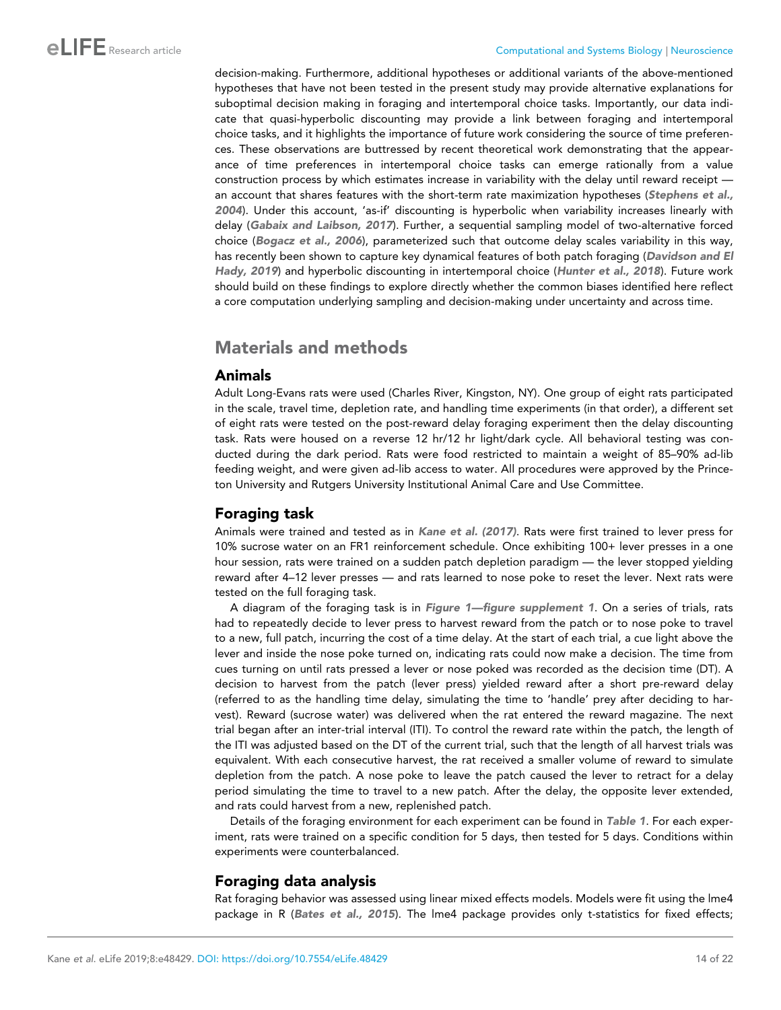decision-making. Furthermore, additional hypotheses or additional variants of the above-mentioned hypotheses that have not been tested in the present study may provide alternative explanations for suboptimal decision making in foraging and intertemporal choice tasks. Importantly, our data indicate that quasi-hyperbolic discounting may provide a link between foraging and intertemporal choice tasks, and it highlights the importance of future work considering the source of time preferences. These observations are buttressed by recent theoretical work demonstrating that the appearance of time preferences in intertemporal choice tasks can emerge rationally from a value construction process by which estimates increase in variability with the delay until reward receipt — an account that shares features with the short-term rate maximization hypotheses ([Stephens et al.,](#page-21-0) [2004](#page-21-0)). Under this account, 'as-if' discounting is hyperbolic when variability increases linearly with delay ([Gabaix and Laibson, 2017](#page-20-0)). Further, a sequential sampling model of two-alternative forced choice ([Bogacz et al., 2006](#page-20-0)), parameterized such that outcome delay scales variability in this way, has recently been shown to capture key dynamical features of both patch foraging ([Davidson and El](#page-20-0) [Hady, 2019](#page-20-0)) and hyperbolic discounting in intertemporal choice ([Hunter et al., 2018](#page-20-0)). Future work should build on these findings to explore directly whether the common biases identified here reflect a core computation underlying sampling and decision-making under uncertainty and across time.

# Materials and methods

# Animals

Adult Long-Evans rats were used (Charles River, Kingston, NY). One group of eight rats participated in the scale, travel time, depletion rate, and handling time experiments (in that order), a different set of eight rats were tested on the post-reward delay foraging experiment then the delay discounting task. Rats were housed on a reverse 12 hr/12 hr light/dark cycle. All behavioral testing was conducted during the dark period. Rats were food restricted to maintain a weight of 85–90% ad-lib feeding weight, and were given ad-lib access to water. All procedures were approved by the Princeton University and Rutgers University Institutional Animal Care and Use Committee.

# Foraging task

Animals were trained and tested as in [Kane et al. \(2017\)](#page-20-0). Rats were first trained to lever press for 10% sucrose water on an FR1 reinforcement schedule. Once exhibiting 100+ lever presses in a one hour session, rats were trained on a sudden patch depletion paradigm — the lever stopped yielding reward after 4–12 lever presses — and rats learned to nose poke to reset the lever. Next rats were tested on the full foraging task.

A diagram of the foraging task is in [Figure 1—figure supplement 1](#page-5-0). On a series of trials, rats had to repeatedly decide to lever press to harvest reward from the patch or to nose poke to travel to a new, full patch, incurring the cost of a time delay. At the start of each trial, a cue light above the lever and inside the nose poke turned on, indicating rats could now make a decision. The time from cues turning on until rats pressed a lever or nose poked was recorded as the decision time (DT). A decision to harvest from the patch (lever press) yielded reward after a short pre-reward delay (referred to as the handling time delay, simulating the time to 'handle' prey after deciding to harvest). Reward (sucrose water) was delivered when the rat entered the reward magazine. The next trial began after an inter-trial interval (ITI). To control the reward rate within the patch, the length of the ITI was adjusted based on the DT of the current trial, such that the length of all harvest trials was equivalent. With each consecutive harvest, the rat received a smaller volume of reward to simulate depletion from the patch. A nose poke to leave the patch caused the lever to retract for a delay period simulating the time to travel to a new patch. After the delay, the opposite lever extended, and rats could harvest from a new, replenished patch.

Details of the foraging environment for each experiment can be found in [Table 1](#page-3-0). For each experiment, rats were trained on a specific condition for 5 days, then tested for 5 days. Conditions within experiments were counterbalanced.

### Foraging data analysis

Rat foraging behavior was assessed using linear mixed effects models. Models were fit using the lme4 package in R ([Bates et al., 2015](#page-19-0)). The lme4 package provides only t-statistics for fixed effects;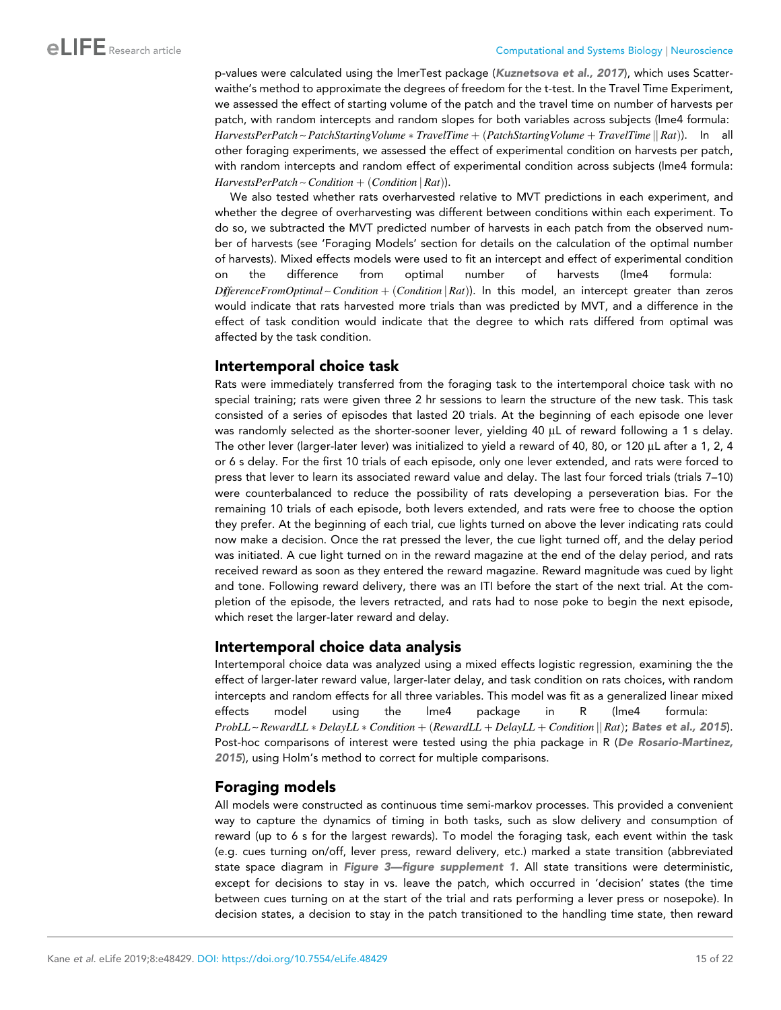p-values were calculated using the lmerTest package ([Kuznetsova et al., 2017](#page-20-0)), which uses Scatterwaithe's method to approximate the degrees of freedom for the t-test. In the Travel Time Experiment, we assessed the effect of starting volume of the patch and the travel time on number of harvests per patch, with random intercepts and random slopes for both variables across subjects (lme4 formula: HarvestsPerPatch ~ PatchStartingVolume  $*$  TravelTime  $+$  (PatchStartingVolume  $+$  TravelTime  $|| Rat||$ . In all other foraging experiments, we assessed the effect of experimental condition on harvests per patch, with random intercepts and random effect of experimental condition across subjects (lme4 formula:  $HarvestsPerPatch \sim Condition + (Condition | Rat)$ .

We also tested whether rats overharvested relative to MVT predictions in each experiment, and whether the degree of overharvesting was different between conditions within each experiment. To do so, we subtracted the MVT predicted number of harvests in each patch from the observed number of harvests (see 'Foraging Models' section for details on the calculation of the optimal number of harvests). Mixed effects models were used to fit an intercept and effect of experimental condition on the difference from optimal number of harvests (lme4 formula: DifferenceFromOptimal ~ Condition + (Condition | Rat)). In this model, an intercept greater than zeros would indicate that rats harvested more trials than was predicted by MVT, and a difference in the effect of task condition would indicate that the degree to which rats differed from optimal was affected by the task condition.

# Intertemporal choice task

Rats were immediately transferred from the foraging task to the intertemporal choice task with no special training; rats were given three 2 hr sessions to learn the structure of the new task. This task consisted of a series of episodes that lasted 20 trials. At the beginning of each episode one lever was randomly selected as the shorter-sooner lever, yielding 40 µL of reward following a 1 s delay. The other lever (larger-later lever) was initialized to yield a reward of 40, 80, or 120  $\mu$ L after a 1, 2, 4 or 6 s delay. For the first 10 trials of each episode, only one lever extended, and rats were forced to press that lever to learn its associated reward value and delay. The last four forced trials (trials 7–10) were counterbalanced to reduce the possibility of rats developing a perseveration bias. For the remaining 10 trials of each episode, both levers extended, and rats were free to choose the option they prefer. At the beginning of each trial, cue lights turned on above the lever indicating rats could now make a decision. Once the rat pressed the lever, the cue light turned off, and the delay period was initiated. A cue light turned on in the reward magazine at the end of the delay period, and rats received reward as soon as they entered the reward magazine. Reward magnitude was cued by light and tone. Following reward delivery, there was an ITI before the start of the next trial. At the completion of the episode, the levers retracted, and rats had to nose poke to begin the next episode, which reset the larger-later reward and delay.

# Intertemporal choice data analysis

Intertemporal choice data was analyzed using a mixed effects logistic regression, examining the the effect of larger-later reward value, larger-later delay, and task condition on rats choices, with random intercepts and random effects for all three variables. This model was fit as a generalized linear mixed effects model using the lme4 package in R (lme4 formula:  $ProbLL \sim RewardLL * DelayLL * Condition + (RewardLL + DelayLL + Condition || Rat);$  [Bates et al., 2015](#page-19-0)). Post-hoc comparisons of interest were tested using the phia package in R ([De Rosario-Martinez,](#page-20-0) [2015](#page-20-0)), using Holm's method to correct for multiple comparisons.

# Foraging models

All models were constructed as continuous time semi-markov processes. This provided a convenient way to capture the dynamics of timing in both tasks, such as slow delivery and consumption of reward (up to 6 s for the largest rewards). To model the foraging task, each event within the task (e.g. cues turning on/off, lever press, reward delivery, etc.) marked a state transition (abbreviated state space diagram in Figure 3-figure supplement 1. All state transitions were deterministic, except for decisions to stay in vs. leave the patch, which occurred in 'decision' states (the time between cues turning on at the start of the trial and rats performing a lever press or nosepoke). In decision states, a decision to stay in the patch transitioned to the handling time state, then reward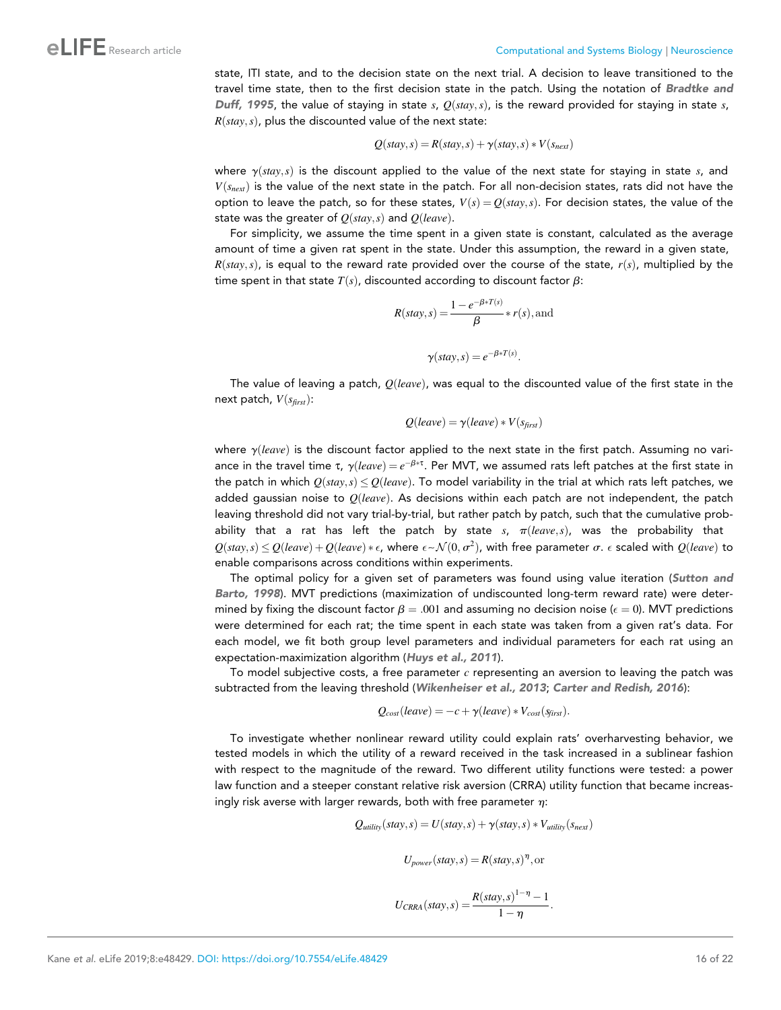state, ITI state, and to the decision state on the next trial. A decision to leave transitioned to the travel time state, then to the first decision state in the patch. Using the notation of [Bradtke and](#page-20-0) [Duff, 1995](#page-20-0), the value of staying in state s,  $Q(s \, t \, \alpha, s)$ , is the reward provided for staying in state s,  $R(stay, s)$ , plus the discounted value of the next state:

$$
Q(stay,s) = R(stay,s) + \gamma(stay,s) * V(s_{next})
$$

where  $\gamma(s t a y, s)$  is the discount applied to the value of the next state for staying in state s, and  $V(s_{next})$  is the value of the next state in the patch. For all non-decision states, rats did not have the option to leave the patch, so for these states,  $V(s) = Q(s \tau s)$ . For decision states, the value of the state was the greater of  $Q(s \, t \, \alpha y, s)$  and  $Q(\text{leave})$ .

For simplicity, we assume the time spent in a given state is constant, calculated as the average amount of time a given rat spent in the state. Under this assumption, the reward in a given state,  $R(stay, s)$ , is equal to the reward rate provided over the course of the state,  $r(s)$ , multiplied by the time spent in that state  $T(s)$ , discounted according to discount factor  $\beta$ :

$$
R(stay, s) = \frac{1 - e^{-\beta * T(s)}}{\beta} * r(s), \text{and}
$$

$$
\gamma(stay, s) = e^{-\beta * T(s)}.
$$

The value of leaving a patch,  $O(leave)$ , was equal to the discounted value of the first state in the next patch,  $V(s_{\text{first}})$ :

$$
Q(leave) = \gamma(leave) * V(s_{first})
$$

where  $\gamma$ (leave) is the discount factor applied to the next state in the first patch. Assuming no variance in the travel time  $\tau$ ,  $\gamma (leave)=e^{-\beta*\tau}.$  Per MVT, we assumed rats left patches at the first state in the patch in which  $Q(stay, s) \leq Q(teave)$ . To model variability in the trial at which rats left patches, we added gaussian noise to  $Q(leave)$ . As decisions within each patch are not independent, the patch leaving threshold did not vary trial-by-trial, but rather patch by patch, such that the cumulative probability that a rat has left the patch by state s,  $\pi(leave, s)$ , was the probability that  $Q(stay, s) \leq Q(teave) + Q(leave)*\epsilon$ , where  $\epsilon \sim \mathcal{N}(0, \sigma^2)$ , with free parameter  $\sigma.$   $\epsilon$  scaled with  $Q(leave)$  to enable comparisons across conditions within experiments.

The optimal policy for a given set of parameters was found using value iteration ([Sutton and](#page-21-0) [Barto, 1998](#page-21-0)). MVT predictions (maximization of undiscounted long-term reward rate) were determined by fixing the discount factor  $\beta = .001$  and assuming no decision noise ( $\epsilon = 0$ ). MVT predictions were determined for each rat; the time spent in each state was taken from a given rat's data. For each model, we fit both group level parameters and individual parameters for each rat using an expectation-maximization algorithm ([Huys et al., 2011](#page-20-0)).

To model subjective costs, a free parameter  $c$  representing an aversion to leaving the patch was subtracted from the leaving threshold ([Wikenheiser et al., 2013](#page-21-0); [Carter and Redish, 2016](#page-20-0)):

$$
Q_{cost}(leave) = -c + \gamma(leave) * V_{cost}(s_{first}).
$$

To investigate whether nonlinear reward utility could explain rats' overharvesting behavior, we tested models in which the utility of a reward received in the task increased in a sublinear fashion with respect to the magnitude of the reward. Two different utility functions were tested: a power law function and a steeper constant relative risk aversion (CRRA) utility function that became increasingly risk averse with larger rewards, both with free parameter  $\eta$ :

$$
Q_{utility}(stay,s) = U (stay,s) + \gamma (stay,s) * V_{utility}(s_{next})
$$

 $U_{power}(stay,s) = R(stay,s)^{\eta}$ , or

$$
U_{CRRA}(stay,s) = \frac{R(staty,s)^{1-\eta}-1}{1-\eta}.
$$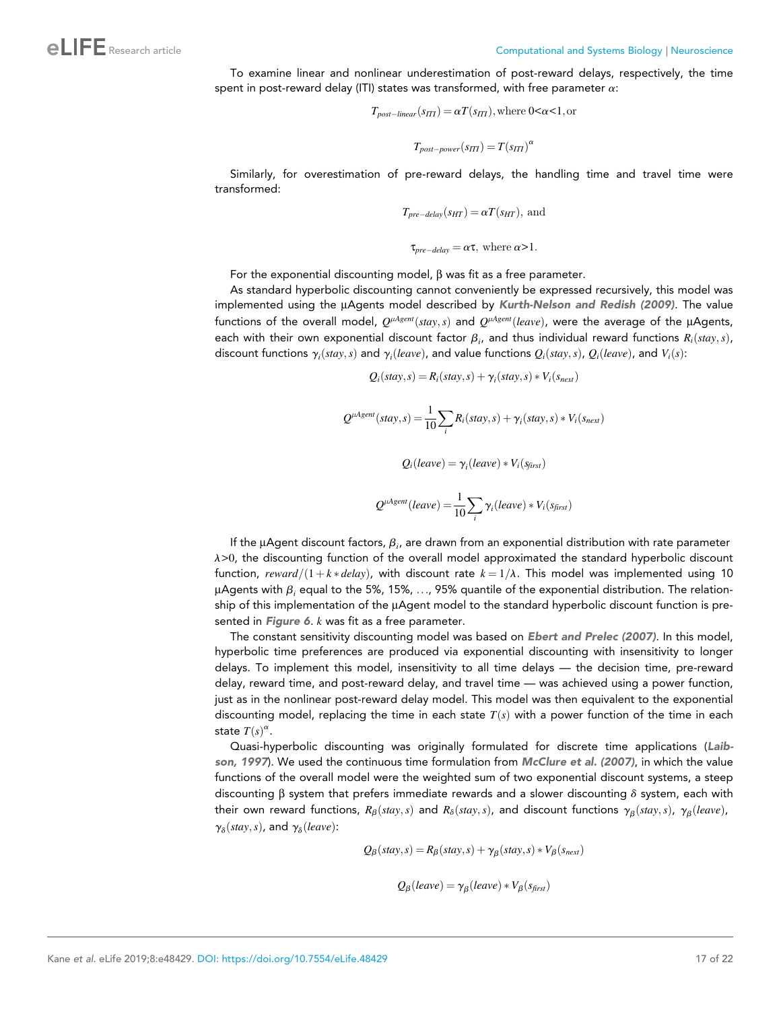To examine linear and nonlinear underestimation of post-reward delays, respectively, the time spent in post-reward delay (ITI) states was transformed, with free parameter  $\alpha$ :

$$
T_{post-linear}(s_{ITI}) = \alpha T(s_{ITI}), \text{where } 0 < \alpha < 1, \text{ or }
$$

$$
T_{post-power}(s_{ITI}) = T(s_{ITI})^{\alpha}
$$

Similarly, for overestimation of pre-reward delays, the handling time and travel time were transformed:

$$
T_{pre-delay}(s_{HT}) = \alpha T(s_{HT}),
$$
 and

$$
\tau_{pre-delay} = \alpha \tau, \text{ where } \alpha > 1.
$$

For the exponential discounting model,  $\beta$  was fit as a free parameter.

As standard hyperbolic discounting cannot conveniently be expressed recursively, this model was implemented using the µAgents model described by [Kurth-Nelson and Redish \(2009\)](#page-20-0). The value functions of the overall model,  $Q^{\mu Agen}(stay,s)$  and  $Q^{\mu Agen}(leave)$ , were the average of the  $\mu A$ gents, each with their own exponential discount factor  $\beta_i$ , and thus individual reward functions  $R_i (stay,s)$ , discount functions  $\gamma_i (stay,s)$  and  $\gamma_i (leave)$ , and value functions  $Q_i (stay,s)$ ,  $Q_i (leave)$ , and  $V_i(s)$ :

$$
Q_i(stay,s) = R_i(stay,s) + \gamma_i(stay,s) * V_i(s_{next})
$$

$$
Q^{\mu Agent}(stay,s) = \frac{1}{10} \sum_{i} R_i (stay,s) + \gamma_i (stay,s) * V_i(s_{next})
$$

$$
Q_i(leave) = \gamma_i(leave) * V_i(s_{first})
$$

$$
Q^{\mu Agent}(leave) = \frac{1}{10} \sum_i \gamma_i (leave) * V_i(s_{first})
$$

If the  $\mu$ Agent discount factors,  $\beta_i$ , are drawn from an exponential distribution with rate parameter  $\lambda$ >0, the discounting function of the overall model approximated the standard hyperbolic discount function, reward/(1+k \* delay), with discount rate  $k = 1/\lambda$ . This model was implemented using 10 µAgents with  $\beta_i$  equal to the 5%, 15%, ..., 95% quantile of the exponential distribution. The relationship of this implementation of the  $\mu$ Agent model to the standard hyperbolic discount function is pre-sented in [Figure 6](#page-17-0).  $k$  was fit as a free parameter.

The constant sensitivity discounting model was based on [Ebert and Prelec \(2007\)](#page-20-0). In this model, hyperbolic time preferences are produced via exponential discounting with insensitivity to longer delays. To implement this model, insensitivity to all time delays — the decision time, pre-reward delay, reward time, and post-reward delay, and travel time — was achieved using a power function, just as in the nonlinear post-reward delay model. This model was then equivalent to the exponential discounting model, replacing the time in each state  $T(s)$  with a power function of the time in each state  $T(s)^{\alpha}$ .

Quasi-hyperbolic discounting was originally formulated for discrete time applications ([Laib](#page-20-0)[son, 1997](#page-20-0)). We used the continuous time formulation from [McClure et al. \(2007\)](#page-20-0), in which the value functions of the overall model were the weighted sum of two exponential discount systems, a steep discounting  $\beta$  system that prefers immediate rewards and a slower discounting  $\delta$  system, each with their own reward functions,  $R_\beta (stay,s)$  and  $R_\delta (stay,s)$ , and discount functions  $\gamma_\beta (stay,s)$ ,  $\gamma_\beta (leave)$ ,  $\gamma_\delta(\textit{stay},s)$ , and  $\gamma_\delta(\textit{leave})$ :

$$
Q_{\beta}(stay,s) = R_{\beta}(stay,s) + \gamma_{\beta}(stay,s) * V_{\beta}(s_{next})
$$

$$
Q_{\beta}(leave) = \gamma_{\beta}(leave) * V_{\beta}(s_{first})
$$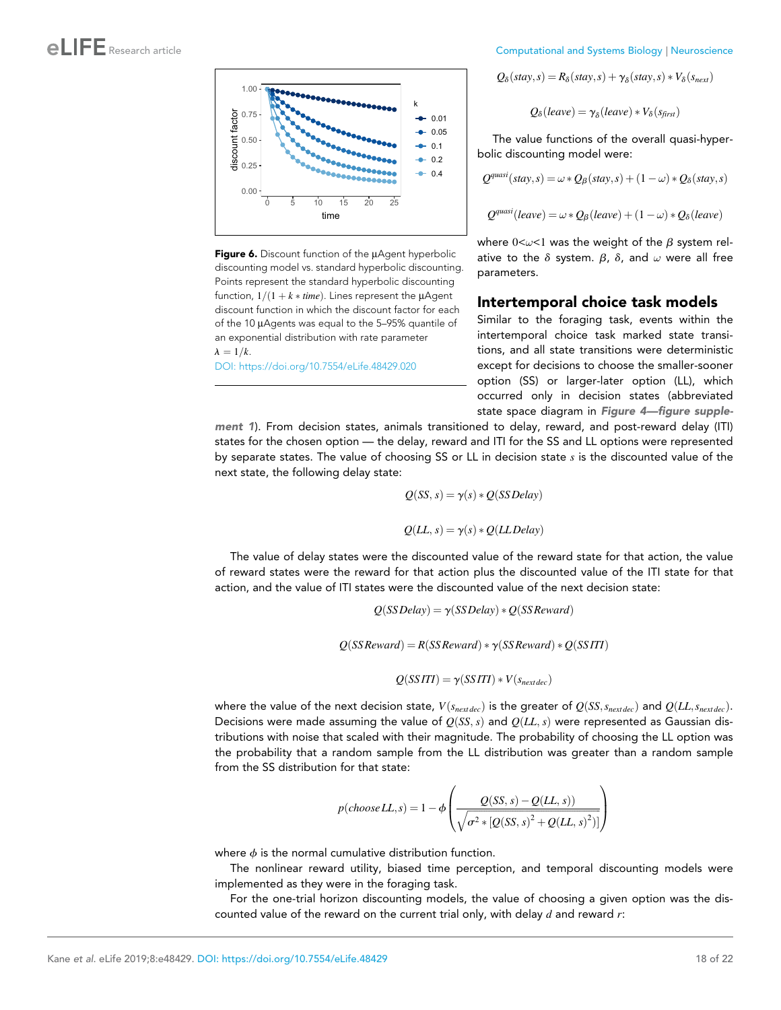

Figure 6. Discount function of the µAgent hyperbolic discounting model vs. standard hyperbolic discounting. Points represent the standard hyperbolic discounting function,  $1/(1 + k * time)$ . Lines represent the µAgent discount function in which the discount factor for each of the 10 µAgents was equal to the 5–95% quantile of an exponential distribution with rate parameter  $\lambda = 1/k$ .

[DOI: https://doi.org/10.7554/eLife.48429.020](https://doi.org/10.7554/eLife.48429.020)

# <span id="page-17-0"></span>eLFE Research article Computational and Systems Biology | Neuroscience

$$
Q_{\delta}(stay,s) = R_{\delta}(stay,s) + \gamma_{\delta}(stay,s) * V_{\delta}(s_{next})
$$

$$
Q_{\delta}(leave) = \gamma_{\delta}(leave) * V_{\delta}(s_{first})
$$

The value functions of the overall quasi-hyperbolic discounting model were:

$$
Q^{quasi}(stay,s) = \omega * Q_{\beta}(stay,s) + (1 - \omega) * Q_{\delta}(stay,s)
$$

$$
Q^{quasi}(leave) = \omega * Q_{\beta}(leave) + (1 - \omega) * Q_{\delta}(leave)
$$

where  $0 < \omega < 1$  was the weight of the  $\beta$  system relative to the  $\delta$  system.  $\beta$ ,  $\delta$ , and  $\omega$  were all free parameters.

### Intertemporal choice task models

Similar to the foraging task, events within the intertemporal choice task marked state transitions, and all state transitions were deterministic except for decisions to choose the smaller-sooner option (SS) or larger-later option (LL), which occurred only in decision states (abbreviated state space diagram in [Figure 4—figure supple-](#page-10-0)

[ment 1](#page-10-0)). From decision states, animals transitioned to delay, reward, and post-reward delay (ITI) states for the chosen option — the delay, reward and ITI for the SS and LL options were represented by separate states. The value of choosing SS or LL in decision state  $s$  is the discounted value of the next state, the following delay state:

$$
Q(SS, s) = \gamma(s) * Q(SSDelay)
$$
  

$$
Q(LL, s) = \gamma(s) * Q(LLDelay)
$$

The value of delay states were the discounted value of the reward state for that action, the value of reward states were the reward for that action plus the discounted value of the ITI state for that action, and the value of ITI states were the discounted value of the next decision state:

$$
Q(SSDelay) = \gamma(SSDelay) * Q(SSReward)
$$

 $Q(SSReward) = R(SSReward) * \gamma(SSReward) * Q(SSITI)$ 

$$
Q(SSITI) = \gamma (SSTI) * V(s_{next\,dec})
$$

where the value of the next decision state,  $V(s_{next dec})$  is the greater of  $Q(SS, s_{next dec})$  and  $Q(LL, s_{next dec})$ . Decisions were made assuming the value of  $Q(SS, s)$  and  $Q(LL, s)$  were represented as Gaussian distributions with noise that scaled with their magnitude. The probability of choosing the LL option was the probability that a random sample from the LL distribution was greater than a random sample from the SS distribution for that state:

$$
p(choose LL, s) = 1 - \phi \left( \frac{Q(SS, s) - Q(LL, s))}{\sqrt{\sigma^2 * [Q(SS, s)^2 + Q(LL, s)^2]}} \right)
$$

where  $\phi$  is the normal cumulative distribution function.

The nonlinear reward utility, biased time perception, and temporal discounting models were implemented as they were in the foraging task.

For the one-trial horizon discounting models, the value of choosing a given option was the discounted value of the reward on the current trial only, with delay  $d$  and reward  $r$ :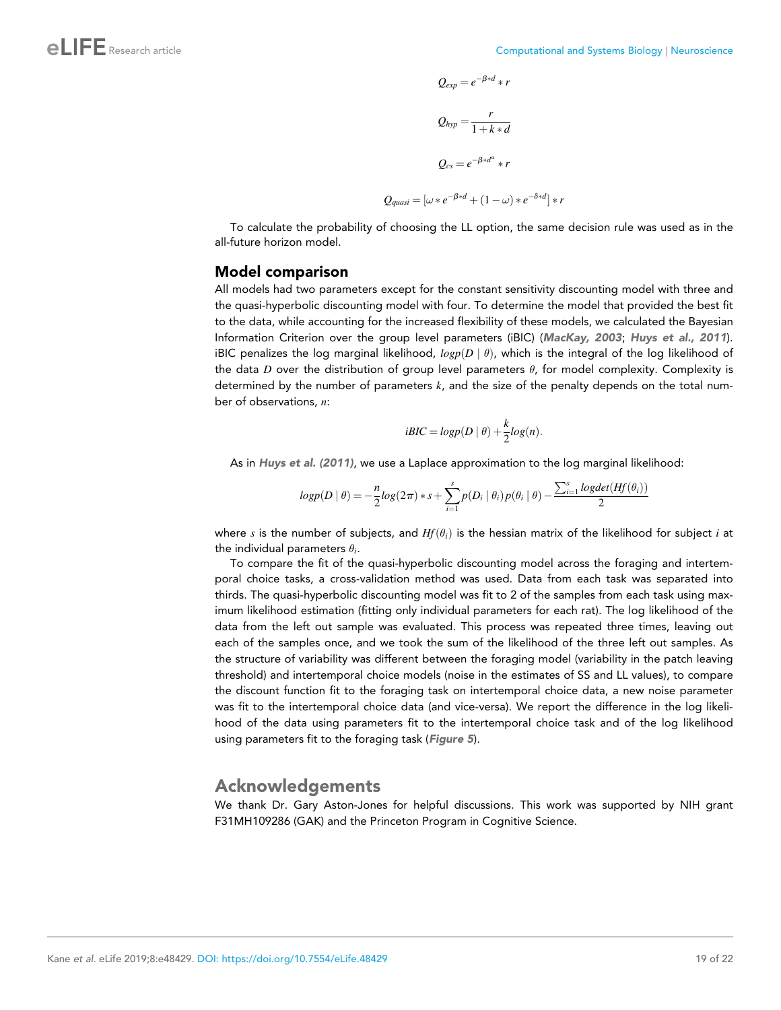$$
Q_{exp} = e^{-\beta * d} * r
$$

$$
Q_{hyp} = \frac{r}{1 + k * d}
$$

$$
Q_{cs} = e^{-\beta * d^{\alpha}} * r
$$

$$
Q_{quasi} = [\omega * e^{-\beta * d} + (1 - \omega) * e^{-\delta * d}] * r
$$

To calculate the probability of choosing the LL option, the same decision rule was used as in the all-future horizon model.

### Model comparison

All models had two parameters except for the constant sensitivity discounting model with three and the quasi-hyperbolic discounting model with four. To determine the model that provided the best fit to the data, while accounting for the increased flexibility of these models, we calculated the Bayesian Information Criterion over the group level parameters (iBIC) ([MacKay, 2003](#page-20-0); [Huys et al., 2011](#page-20-0)). iBIC penalizes the log marginal likelihood,  $logp(D \mid \theta)$ , which is the integral of the log likelihood of the data D over the distribution of group level parameters  $\theta$ , for model complexity. Complexity is determined by the number of parameters k, and the size of the penalty depends on the total number of observations, n:

$$
iBIC = logp(D | \theta) + \frac{k}{2}log(n).
$$

As in [Huys et al. \(2011\)](#page-20-0), we use a Laplace approximation to the log marginal likelihood:

$$
log p(D \mid \theta) = -\frac{n}{2} log(2\pi) * s + \sum_{i=1}^{s} p(D_i \mid \theta_i) p(\theta_i \mid \theta) - \frac{\sum_{i=1}^{s} logdet(Hf(\theta_i))}{2}
$$

where s is the number of subjects, and  $Hf(\theta_i)$  is the hessian matrix of the likelihood for subject i at the individual parameters  $\theta_i.$ 

To compare the fit of the quasi-hyperbolic discounting model across the foraging and intertemporal choice tasks, a cross-validation method was used. Data from each task was separated into thirds. The quasi-hyperbolic discounting model was fit to 2 of the samples from each task using maximum likelihood estimation (fitting only individual parameters for each rat). The log likelihood of the data from the left out sample was evaluated. This process was repeated three times, leaving out each of the samples once, and we took the sum of the likelihood of the three left out samples. As the structure of variability was different between the foraging model (variability in the patch leaving threshold) and intertemporal choice models (noise in the estimates of SS and LL values), to compare the discount function fit to the foraging task on intertemporal choice data, a new noise parameter was fit to the intertemporal choice data (and vice-versa). We report the difference in the log likelihood of the data using parameters fit to the intertemporal choice task and of the log likelihood using parameters fit to the foraging task ([Figure 5](#page-11-0)).

# Acknowledgements

We thank Dr. Gary Aston-Jones for helpful discussions. This work was supported by NIH grant F31MH109286 (GAK) and the Princeton Program in Cognitive Science.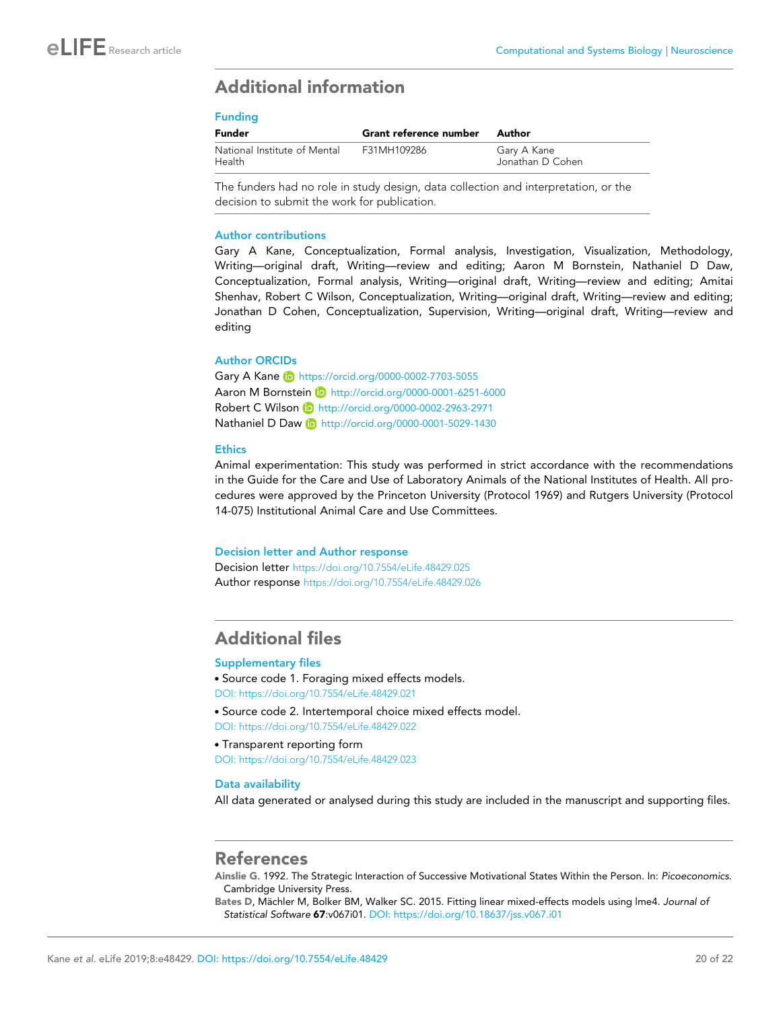# <span id="page-19-0"></span>Additional information

### Funding

| <b>Funder</b>                          | Grant reference number | Author                          |
|----------------------------------------|------------------------|---------------------------------|
| National Institute of Mental<br>Health | F31MH109286            | Gary A Kane<br>Jonathan D Cohen |

The funders had no role in study design, data collection and interpretation, or the decision to submit the work for publication.

### Author contributions

Gary A Kane, Conceptualization, Formal analysis, Investigation, Visualization, Methodology, Writing—original draft, Writing—review and editing; Aaron M Bornstein, Nathaniel D Daw, Conceptualization, Formal analysis, Writing—original draft, Writing—review and editing; Amitai Shenhav, Robert C Wilson, Conceptualization, Writing—original draft, Writing—review and editing; Jonathan D Cohen, Conceptualization, Supervision, Writing—original draft, Writing—review and editing

### Author ORCIDs

Gary A Kane (b) <https://orcid.org/0000-0002-7703-5055> Aaron M Bornstein **b** <http://orcid.org/0000-0001-6251-6000> Robert C Wilson (D <http://orcid.org/0000-0002-2963-2971> Nathaniel D Daw D <http://orcid.org/0000-0001-5029-1430>

### **Ethics**

Animal experimentation: This study was performed in strict accordance with the recommendations in the Guide for the Care and Use of Laboratory Animals of the National Institutes of Health. All procedures were approved by the Princeton University (Protocol 1969) and Rutgers University (Protocol 14-075) Institutional Animal Care and Use Committees.

#### Decision letter and Author response

Decision letter <https://doi.org/10.7554/eLife.48429.025> Author response <https://doi.org/10.7554/eLife.48429.026>

# Additional files

#### Supplementary files

- . Source code 1. Foraging mixed effects models.
- [DOI: https://doi.org/10.7554/eLife.48429.021](https://doi.org/10.7554/eLife.48429.021)

. Source code 2. Intertemporal choice mixed effects model. [DOI: https://doi.org/10.7554/eLife.48429.022](https://doi.org/10.7554/eLife.48429.022)

. Transparent reporting form [DOI: https://doi.org/10.7554/eLife.48429.023](https://doi.org/10.7554/eLife.48429.023)

### Data availability

All data generated or analysed during this study are included in the manuscript and supporting files.

### References

Ainslie G. 1992. The Strategic Interaction of Successive Motivational States Within the Person. In: *Picoeconomics*. Cambridge University Press.

Bates D, Mächler M, Bolker BM, Walker SC. 2015. Fitting linear mixed-effects models using lme4. *Journal of Statistical Software* 67:v067i01. DOI:<https://doi.org/10.18637/jss.v067.i01>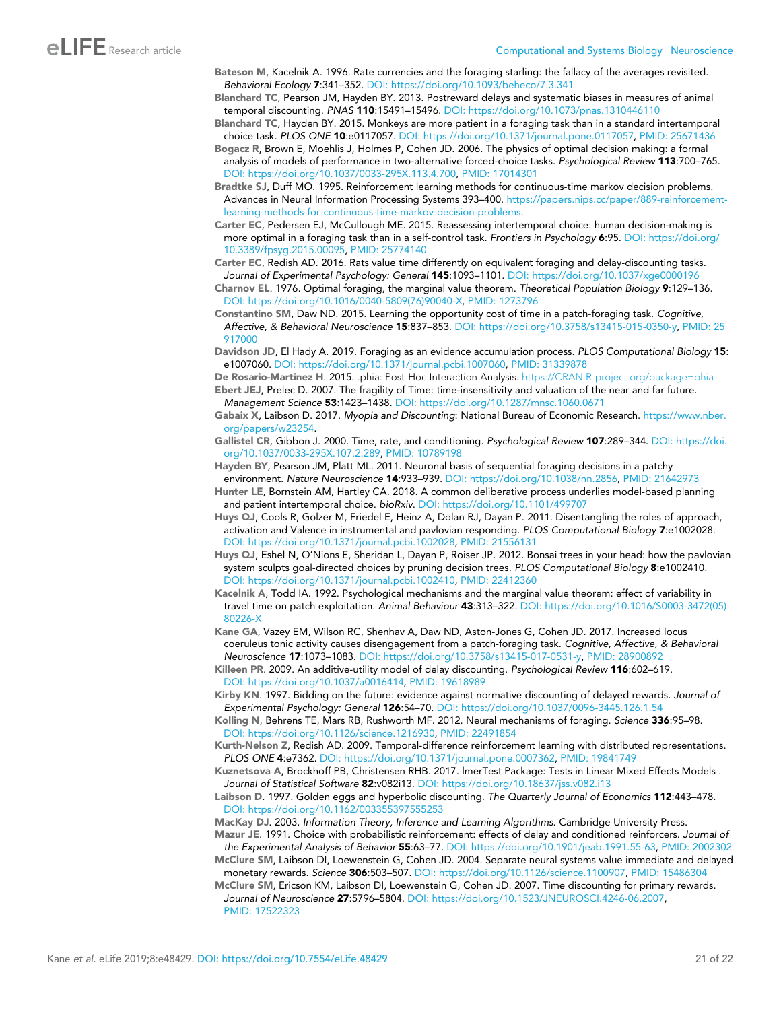- <span id="page-20-0"></span>Bateson M, Kacelnik A. 1996. Rate currencies and the foraging starling: the fallacy of the averages revisited. *Behavioral Ecology* 7:341–352. DOI:<https://doi.org/10.1093/beheco/7.3.341>
- Blanchard TC, Pearson JM, Hayden BY. 2013. Postreward delays and systematic biases in measures of animal temporal discounting. *PNAS* 110:15491–15496. DOI:<https://doi.org/10.1073/pnas.1310446110>
- Blanchard TC, Hayden BY. 2015. Monkeys are more patient in a foraging task than in a standard intertemporal choice task. *PLOS ONE* 10:e0117057. DOI: [https://doi.org/10.1371/journal.pone.0117057,](https://doi.org/10.1371/journal.pone.0117057) PMID: [25671436](http://www.ncbi.nlm.nih.gov/pubmed/25671436)
- Bogacz R, Brown E, Moehlis J, Holmes P, Cohen JD. 2006. The physics of optimal decision making: a formal analysis of models of performance in two-alternative forced-choice tasks. *Psychological Review* 113:700–765. DOI: [https://doi.org/10.1037/0033-295X.113.4.700,](https://doi.org/10.1037/0033-295X.113.4.700) PMID: [17014301](http://www.ncbi.nlm.nih.gov/pubmed/17014301)
- Bradtke SJ, Duff MO. 1995. Reinforcement learning methods for continuous-time markov decision problems. Advances in Neural Information Processing Systems 393-400. [https://papers.nips.cc/paper/889-reinforcement](https://papers.nips.cc/paper/889-reinforcement-learning-methods-for-continuous-time-markov-decision-problems)[learning-methods-for-continuous-time-markov-decision-problems](https://papers.nips.cc/paper/889-reinforcement-learning-methods-for-continuous-time-markov-decision-problems).
- Carter EC, Pedersen EJ, McCullough ME. 2015. Reassessing intertemporal choice: human decision-making is more optimal in a foraging task than in a self-control task. *Frontiers in Psychology* 6:95. DOI: [https://doi.org/](https://doi.org/10.3389/fpsyg.2015.00095) [10.3389/fpsyg.2015.00095](https://doi.org/10.3389/fpsyg.2015.00095), PMID: [25774140](http://www.ncbi.nlm.nih.gov/pubmed/25774140)
- Carter EC, Redish AD. 2016. Rats value time differently on equivalent foraging and delay-discounting tasks. *Journal of Experimental Psychology: General* 145:1093–1101. DOI:<https://doi.org/10.1037/xge0000196>
- Charnov EL. 1976. Optimal foraging, the marginal value theorem. *Theoretical Population Biology* 9:129–136. DOI: [https://doi.org/10.1016/0040-5809\(76\)90040-X](https://doi.org/10.1016/0040-5809(76)90040-X), PMID: [1273796](http://www.ncbi.nlm.nih.gov/pubmed/1273796)
- Constantino SM, Daw ND. 2015. Learning the opportunity cost of time in a patch-foraging task. *Cognitive, Affective, & Behavioral Neuroscience* 15:837–853. DOI: [https://doi.org/10.3758/s13415-015-0350-y,](https://doi.org/10.3758/s13415-015-0350-y) PMID: [25](http://www.ncbi.nlm.nih.gov/pubmed/25917000) [917000](http://www.ncbi.nlm.nih.gov/pubmed/25917000)
- Davidson JD, El Hady A. 2019. Foraging as an evidence accumulation process. *PLOS Computational Biology* 15: e1007060. DOI:<https://doi.org/10.1371/journal.pcbi.1007060>, PMID: [31339878](http://www.ncbi.nlm.nih.gov/pubmed/31339878)
- De Rosario-Martinez H. 2015. .phia: Post-Hoc Interaction Analysis. <https://CRAN.R-project.org/package=phia> Ebert JEJ, Prelec D. 2007. The fragility of Time: time-insensitivity and valuation of the near and far future.
- *Management Science* 53:1423–1438. DOI:<https://doi.org/10.1287/mnsc.1060.0671> Gabaix X, Laibson D. 2017. *Myopia and Discounting*: National Bureau of Economic Research. [https://www.nber.](https://www.nber.org/papers/w23254) [org/papers/w23254](https://www.nber.org/papers/w23254).
- Gallistel CR, Gibbon J. 2000. Time, rate, and conditioning. *Psychological Review* 107:289–344. DOI: [https://doi.](https://doi.org/10.1037/0033-295X.107.2.289) [org/10.1037/0033-295X.107.2.289](https://doi.org/10.1037/0033-295X.107.2.289), PMID: [10789198](http://www.ncbi.nlm.nih.gov/pubmed/10789198)
- Hayden BY, Pearson JM, Platt ML. 2011. Neuronal basis of sequential foraging decisions in a patchy environment. *Nature Neuroscience* 14:933–939. DOI:<https://doi.org/10.1038/nn.2856>, PMID: [21642973](http://www.ncbi.nlm.nih.gov/pubmed/21642973)
- Hunter LE, Bornstein AM, Hartley CA. 2018. A common deliberative process underlies model-based planning and patient intertemporal choice. *bioRxiv*. DOI:<https://doi.org/10.1101/499707>
- Huys QJ, Cools R, Gölzer M, Friedel E, Heinz A, Dolan RJ, Dayan P. 2011. Disentangling the roles of approach, activation and Valence in instrumental and pavlovian responding. *PLOS Computational Biology* 7:e1002028. DOI: [https://doi.org/10.1371/journal.pcbi.1002028,](https://doi.org/10.1371/journal.pcbi.1002028) PMID: [21556131](http://www.ncbi.nlm.nih.gov/pubmed/21556131)
- Huys QJ, Eshel N, O'Nions E, Sheridan L, Dayan P, Roiser JP. 2012. Bonsai trees in your head: how the pavlovian system sculpts goal-directed choices by pruning decision trees. *PLOS Computational Biology* 8:e1002410. DOI: [https://doi.org/10.1371/journal.pcbi.1002410,](https://doi.org/10.1371/journal.pcbi.1002410) PMID: [22412360](http://www.ncbi.nlm.nih.gov/pubmed/22412360)
- Kacelnik A, Todd IA. 1992. Psychological mechanisms and the marginal value theorem: effect of variability in travel time on patch exploitation. *Animal Behaviour* 43:313–322. DOI: [https://doi.org/10.1016/S0003-3472\(05\)](https://doi.org/10.1016/S0003-3472(05)80226-X) [80226-X](https://doi.org/10.1016/S0003-3472(05)80226-X)
- Kane GA, Vazey EM, Wilson RC, Shenhav A, Daw ND, Aston-Jones G, Cohen JD. 2017. Increased locus coeruleus tonic activity causes disengagement from a patch-foraging task. *Cognitive, Affective, & Behavioral Neuroscience* 17:1073–1083. DOI: [https://doi.org/10.3758/s13415-017-0531-y,](https://doi.org/10.3758/s13415-017-0531-y) PMID: [28900892](http://www.ncbi.nlm.nih.gov/pubmed/28900892)
- Killeen PR. 2009. An additive-utility model of delay discounting. *Psychological Review* 116:602–619. DOI: [https://doi.org/10.1037/a0016414,](https://doi.org/10.1037/a0016414) PMID: [19618989](http://www.ncbi.nlm.nih.gov/pubmed/19618989)
- Kirby KN. 1997. Bidding on the future: evidence against normative discounting of delayed rewards. *Journal of Experimental Psychology: General* 126:54–70. DOI:<https://doi.org/10.1037/0096-3445.126.1.54>
- Kolling N, Behrens TE, Mars RB, Rushworth MF. 2012. Neural mechanisms of foraging. *Science* 336:95–98. DOI: [https://doi.org/10.1126/science.1216930,](https://doi.org/10.1126/science.1216930) PMID: [22491854](http://www.ncbi.nlm.nih.gov/pubmed/22491854)
- Kurth-Nelson Z, Redish AD. 2009. Temporal-difference reinforcement learning with distributed representations. *PLOS ONE* 4:e7362. DOI: [https://doi.org/10.1371/journal.pone.0007362,](https://doi.org/10.1371/journal.pone.0007362) PMID: [19841749](http://www.ncbi.nlm.nih.gov/pubmed/19841749)
- Kuznetsova A, Brockhoff PB, Christensen RHB. 2017. lmerTest Package: Tests in Linear Mixed Effects Models . *Journal of Statistical Software* 82:v082i13. DOI:<https://doi.org/10.18637/jss.v082.i13>
- Laibson D. 1997. Golden eggs and hyperbolic discounting. *The Quarterly Journal of Economics* 112:443–478. DOI:<https://doi.org/10.1162/003355397555253>
- MacKay DJ. 2003. *Information Theory, Inference and Learning Algorithms*. Cambridge University Press. Mazur JE. 1991. Choice with probabilistic reinforcement: effects of delay and conditioned reinforcers. *Journal of*
- *the Experimental Analysis of Behavior* 55:63–77. DOI:<https://doi.org/10.1901/jeab.1991.55-63>, PMID: [2002302](http://www.ncbi.nlm.nih.gov/pubmed/2002302) McClure SM, Laibson DI, Loewenstein G, Cohen JD. 2004. Separate neural systems value immediate and delayed
- monetary rewards. *Science* 306:503–507. DOI:<https://doi.org/10.1126/science.1100907>, PMID: [15486304](http://www.ncbi.nlm.nih.gov/pubmed/15486304) McClure SM, Ericson KM, Laibson DI, Loewenstein G, Cohen JD. 2007. Time discounting for primary rewards. *Journal of Neuroscience* 27:5796–5804. DOI: [https://doi.org/10.1523/JNEUROSCI.4246-06.2007,](https://doi.org/10.1523/JNEUROSCI.4246-06.2007) PMID: [17522323](http://www.ncbi.nlm.nih.gov/pubmed/17522323)